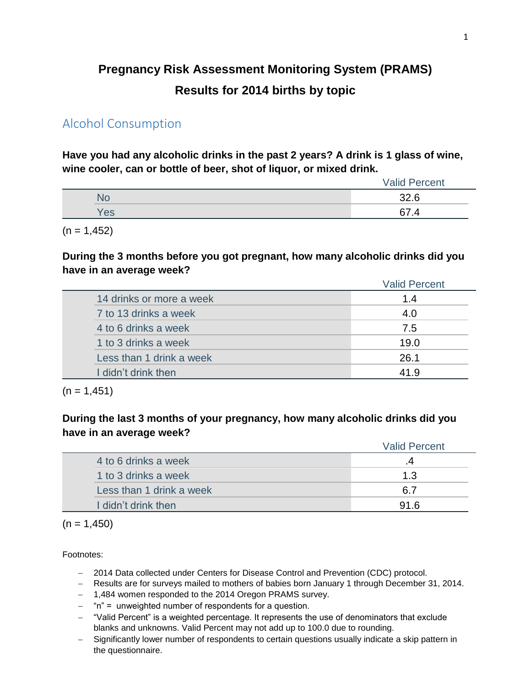# **Pregnancy Risk Assessment Monitoring System (PRAMS) Results for 2014 births by topic**

# Alcohol Consumption

**Have you had any alcoholic drinks in the past 2 years? A drink is 1 glass of wine, wine cooler, can or bottle of beer, shot of liquor, or mixed drink.**

|     | Valid<br>Percent |
|-----|------------------|
| NO  | ລວ ຂ<br>94.U     |
| Yes | ~7               |

 $(n = 1, 452)$ 

**During the 3 months before you got pregnant, how many alcoholic drinks did you have in an average week?**

|                          | <b>Valid Percent</b> |
|--------------------------|----------------------|
| 14 drinks or more a week | 1.4                  |
| 7 to 13 drinks a week    | 4.0                  |
| 4 to 6 drinks a week     | 7.5                  |
| 1 to 3 drinks a week     | 19.0                 |
| Less than 1 drink a week | 26.1                 |
| I didn't drink then      | 41.9                 |

 $(n = 1, 451)$ 

**During the last 3 months of your pregnancy, how many alcoholic drinks did you have in an average week?**

|                          | <b>Valid Percent</b> |
|--------------------------|----------------------|
| 4 to 6 drinks a week     |                      |
| 1 to 3 drinks a week     | 1.3                  |
| Less than 1 drink a week | .R 7                 |
| I didn't drink then      | 916                  |

 $(n = 1,450)$ 

- 2014 Data collected under Centers for Disease Control and Prevention (CDC) protocol.
- Results are for surveys mailed to mothers of babies born January 1 through December 31, 2014.
- 1,484 women responded to the 2014 Oregon PRAMS survey.
- $-$  "n" = unweighted number of respondents for a question.
- "Valid Percent" is a weighted percentage. It represents the use of denominators that exclude blanks and unknowns. Valid Percent may not add up to 100.0 due to rounding.
- Significantly lower number of respondents to certain questions usually indicate a skip pattern in the questionnaire.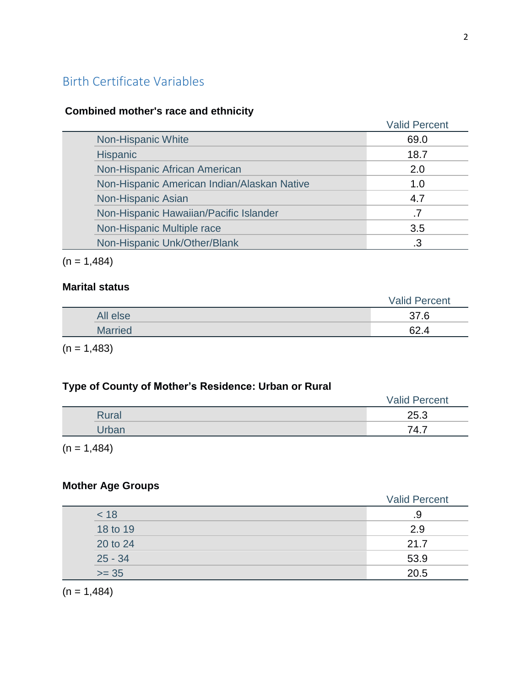# Birth Certificate Variables

## **Combined mother's race and ethnicity**

|                                             | <b>Valid Percent</b> |
|---------------------------------------------|----------------------|
| Non-Hispanic White                          | 69.0                 |
| <b>Hispanic</b>                             | 18.7                 |
| Non-Hispanic African American               | 2.0                  |
| Non-Hispanic American Indian/Alaskan Native | 1.0                  |
| Non-Hispanic Asian                          | 4.7                  |
| Non-Hispanic Hawaiian/Pacific Islander      |                      |
| Non-Hispanic Multiple race                  | 3.5                  |
| Non-Hispanic Unk/Other/Blank                |                      |

 $(n = 1,484)$ 

## **Marital status**

|                | <b>Valid Percent</b> |
|----------------|----------------------|
| All else       | 37.6                 |
| <b>Married</b> | 62.                  |
|                |                      |

 $(n = 1,483)$ 

## **Type of County of Mother's Residence: Urban or Rural**

|       | <b>Valid Percent</b> |
|-------|----------------------|
| Rural | 25.3                 |
| Jrban | 74.7                 |

 $(n = 1,484)$ 

## **Mother Age Groups**

|           | <b>Valid Percent</b> |
|-----------|----------------------|
| < 18      | .9                   |
| 18 to 19  | 2.9                  |
| 20 to 24  | 21.7                 |
| $25 - 34$ | 53.9                 |
| $>= 35$   | 20.5                 |

 $(n = 1,484)$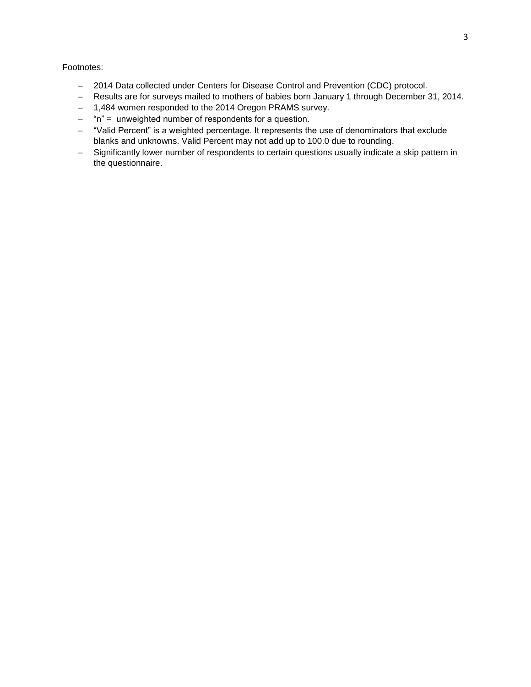- 2014 Data collected under Centers for Disease Control and Prevention (CDC) protocol.
- Results are for surveys mailed to mothers of babies born January 1 through December 31, 2014.
- 1,484 women responded to the 2014 Oregon PRAMS survey.
- $-$  "n" = unweighted number of respondents for a question.
- "Valid Percent" is a weighted percentage. It represents the use of denominators that exclude blanks and unknowns. Valid Percent may not add up to 100.0 due to rounding.
- Significantly lower number of respondents to certain questions usually indicate a skip pattern in the questionnaire.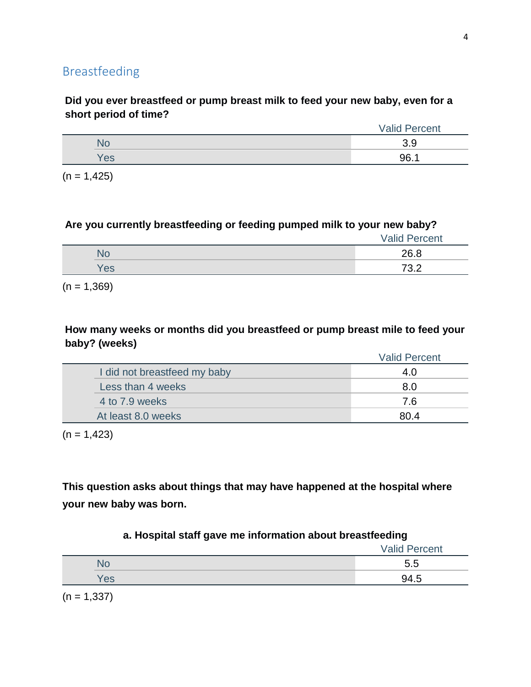## **Did you ever breastfeed or pump breast milk to feed your new baby, even for a short period of time?**

|     | <b>Valid Percent</b> |
|-----|----------------------|
| NС  | ◡.◡                  |
| 'es | 96.1                 |

 $(n = 1, 425)$ 

## **Are you currently breastfeeding or feeding pumped milk to your new baby?**

|     | <b>Valid Percent</b> |
|-----|----------------------|
| NO  | 26.8                 |
| Yes | 73.2                 |

 $(n = 1,369)$ 

## **How many weeks or months did you breastfeed or pump breast mile to feed your baby? (weeks)**

|                              | <b>Valid Percent</b> |
|------------------------------|----------------------|
| I did not breastfeed my baby | 4.0                  |
| Less than 4 weeks            | 8.0                  |
| 4 to 7.9 weeks               | 7.6                  |
| At least 8.0 weeks           | 80.4                 |

 $(n = 1,423)$ 

**This question asks about things that may have happened at the hospital where your new baby was born.**

## **a. Hospital staff gave me information about breastfeeding**

|                       | <b>Valid Percent</b> |
|-----------------------|----------------------|
| N٥                    | 5.5                  |
| Yes                   | 94.5                 |
| $\sqrt{2}$ $\sqrt{2}$ |                      |

 $(n = 1,337)$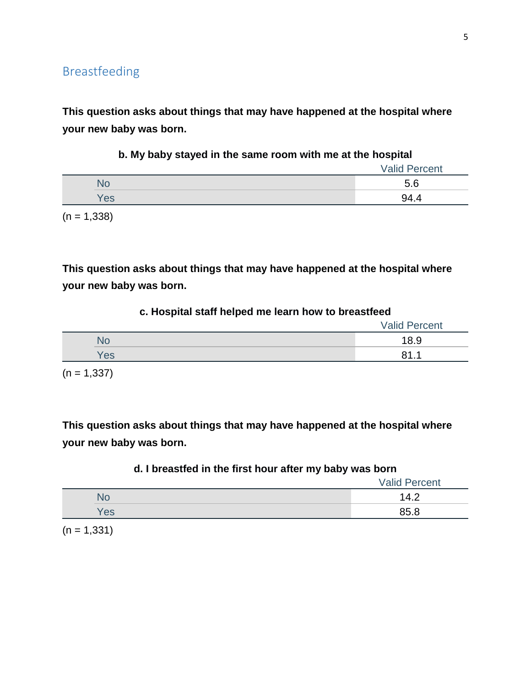**This question asks about things that may have happened at the hospital where your new baby was born.**

|     | <b>Valid Percent</b> |
|-----|----------------------|
| No  | 5.6                  |
| Yes | 94.4                 |

**b. My baby stayed in the same room with me at the hospital**

 $(n = 1,338)$ 

**This question asks about things that may have happened at the hospital where your new baby was born.**

#### **c. Hospital staff helped me learn how to breastfeed**

|     | <b>Valid Percent</b> |
|-----|----------------------|
| NC  | 18.9                 |
| Yes | О 1<br>-4            |

 $(n = 1,337)$ 

**This question asks about things that may have happened at the hospital where your new baby was born.**

## **d. I breastfed in the first hour after my baby was born**

|           | <b>Valid Percent</b> |
|-----------|----------------------|
| <b>NC</b> | 14.2                 |
| Yes       | 85.8                 |

 $(n = 1, 331)$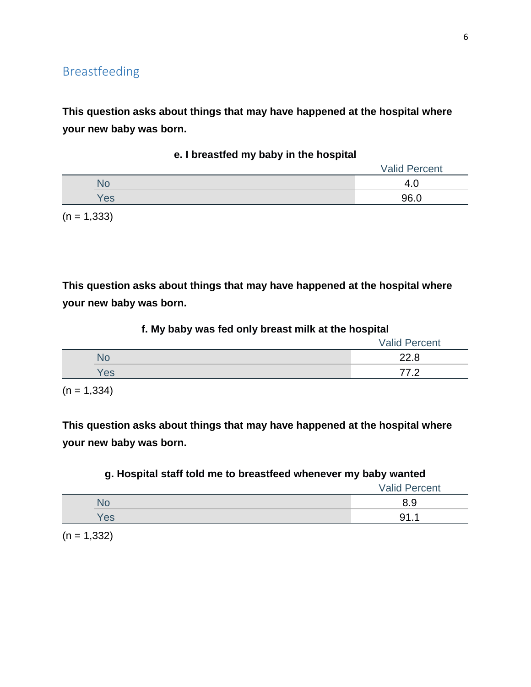**This question asks about things that may have happened at the hospital where your new baby was born.**

|     | <b>Valid Percent</b> |
|-----|----------------------|
|     | 4.U                  |
| Yes | 96.0                 |
|     |                      |

**e. I breastfed my baby in the hospital**

 $(n = 1,333)$ 

**This question asks about things that may have happened at the hospital where your new baby was born.**

|     | $\overline{\phantom{a}}$<br>$\overline{\phantom{a}}$ | - | . .<br><b>Valid Percent</b> |
|-----|------------------------------------------------------|---|-----------------------------|
|     |                                                      |   | 22.8                        |
| Yes |                                                      |   | 77 0                        |

#### **f. My baby was fed only breast milk at the hospital**

 $(n = 1, 334)$ 

**This question asks about things that may have happened at the hospital where your new baby was born.**

| g. Hospital staff told me to breastfeed whenever my baby wanted |                      |
|-----------------------------------------------------------------|----------------------|
|                                                                 | <b>Valid Percent</b> |

|     | Valla I GIUGHI |
|-----|----------------|
|     | ບ.ບ            |
| 'es |                |

 $(n = 1,332)$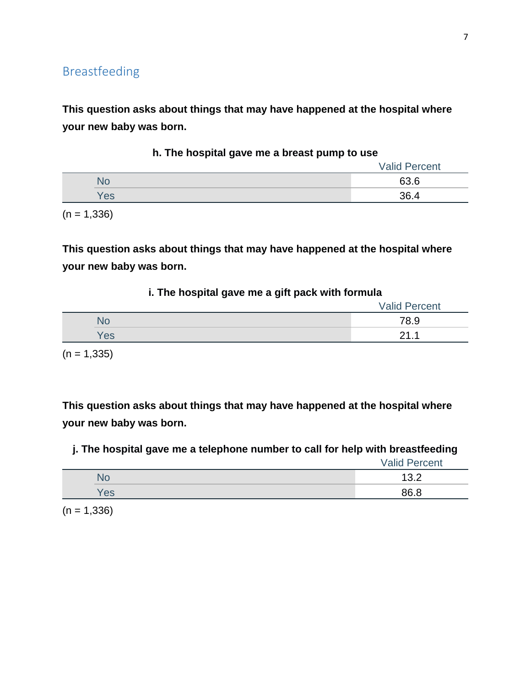**This question asks about things that may have happened at the hospital where your new baby was born.**

|           | <b>Valid Percent</b> |
|-----------|----------------------|
| <b>No</b> | 63.6                 |
| Yes       | 36.4                 |

**h. The hospital gave me a breast pump to use**

 $(n = 1,336)$ 

**This question asks about things that may have happened at the hospital where your new baby was born.**

#### **i. The hospital gave me a gift pack with formula**

|     | <b>Valid Percent</b> |
|-----|----------------------|
|     | 78.9                 |
| Yes | ົາ<br>.<br>_         |
|     |                      |

 $(n = 1, 335)$ 

**This question asks about things that may have happened at the hospital where your new baby was born.**

**j. The hospital gave me a telephone number to call for help with breastfeeding**

Valid Percent

|    | ╭<br>$\ddotsc$ |
|----|----------------|
| ರಾ | מכ             |

 $(n = 1,336)$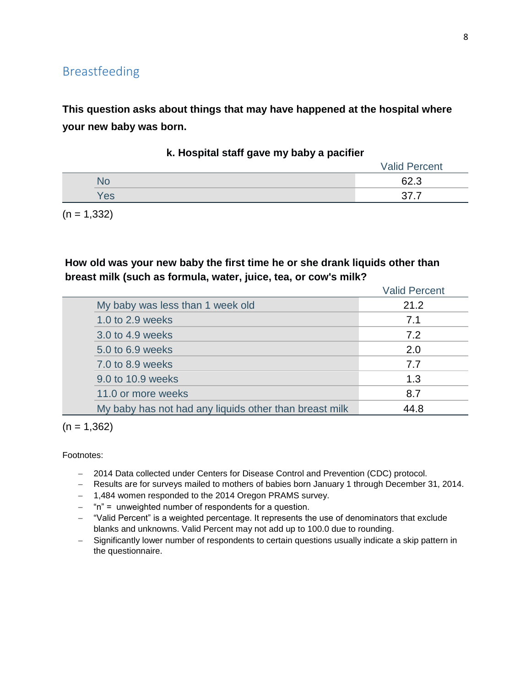**This question asks about things that may have happened at the hospital where your new baby was born.**

|     | <b>Valid Percent</b> |
|-----|----------------------|
| N٥  | 62.3                 |
| Yes |                      |

**k. Hospital staff gave my baby a pacifier**

 $(n = 1,332)$ 

### **How old was your new baby the first time he or she drank liquids other than breast milk (such as formula, water, juice, tea, or cow's milk?**

|                                                        | <b>Valid Percent</b> |
|--------------------------------------------------------|----------------------|
| My baby was less than 1 week old                       | 21.2                 |
| 1.0 to 2.9 weeks                                       | 7.1                  |
| 3.0 to 4.9 weeks                                       | 7.2                  |
| 5.0 to 6.9 weeks                                       | 2.0                  |
| 7.0 to 8.9 weeks                                       | 7.7                  |
| 9.0 to 10.9 weeks                                      | 1.3                  |
| 11.0 or more weeks                                     | 8.7                  |
| My baby has not had any liquids other than breast milk | 44.8                 |

 $(n = 1,362)$ 

- 2014 Data collected under Centers for Disease Control and Prevention (CDC) protocol.
- Results are for surveys mailed to mothers of babies born January 1 through December 31, 2014.
- 1,484 women responded to the 2014 Oregon PRAMS survey.
- $-$  "n" = unweighted number of respondents for a question.
- "Valid Percent" is a weighted percentage. It represents the use of denominators that exclude blanks and unknowns. Valid Percent may not add up to 100.0 due to rounding.
- Significantly lower number of respondents to certain questions usually indicate a skip pattern in the questionnaire.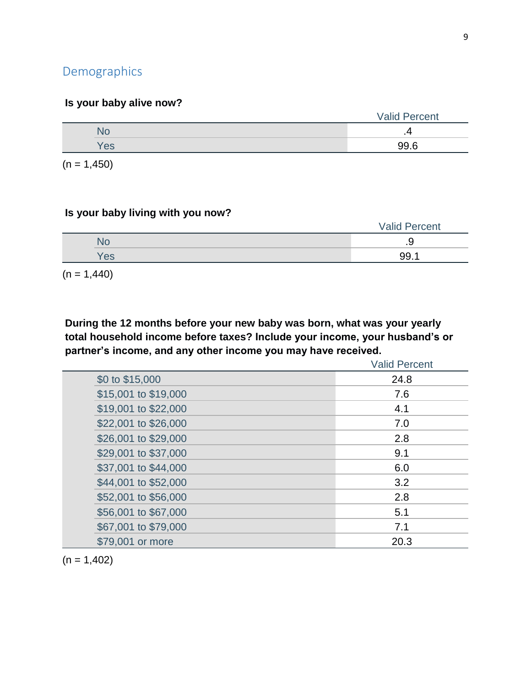# **Demographics**

## **Is your baby alive now?**

|     | <b>Valid Percent</b> |
|-----|----------------------|
|     |                      |
| Yes | 99.6                 |
|     |                      |

 $(n = 1,450)$ 

### **Is your baby living with you now?**

|  |           | <b>Valid Percent</b> |
|--|-----------|----------------------|
|  | <b>NC</b> | ت.                   |
|  | Yes       | 99.                  |

 $(n = 1,440)$ 

**During the 12 months before your new baby was born, what was your yearly total household income before taxes? Include your income, your husband's or partner's income, and any other income you may have received.**

|                      | <b>Valid Percent</b> |
|----------------------|----------------------|
| \$0 to \$15,000      | 24.8                 |
| \$15,001 to \$19,000 | 7.6                  |
| \$19,001 to \$22,000 | 4.1                  |
| \$22,001 to \$26,000 | 7.0                  |
| \$26,001 to \$29,000 | 2.8                  |
| \$29,001 to \$37,000 | 9.1                  |
| \$37,001 to \$44,000 | 6.0                  |
| \$44,001 to \$52,000 | 3.2                  |
| \$52,001 to \$56,000 | 2.8                  |
| \$56,001 to \$67,000 | 5.1                  |
| \$67,001 to \$79,000 | 7.1                  |
| \$79,001 or more     | 20.3                 |

 $(n = 1,402)$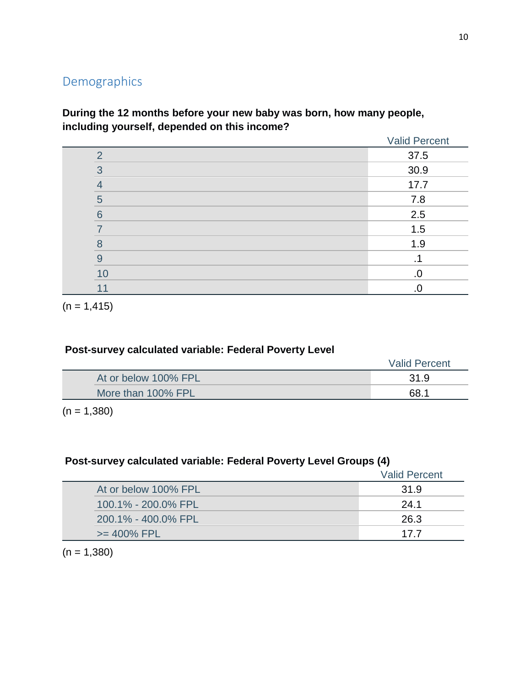# Demographics

## **During the 12 months before your new baby was born, how many people, including yourself, depended on this income?**

|          | <b>Valid Percent</b> |
|----------|----------------------|
| ◠        | 37.5                 |
| $\Omega$ | 30.9                 |
| 4        | 17.7                 |
| 5        | 7.8                  |
| 6        | 2.5                  |
|          | 1.5                  |
| 8        | 1.9                  |
| 9        |                      |
| 10       | .0                   |
| 11       | .C                   |

 $(n = 1, 415)$ 

## **Post-survey calculated variable: Federal Poverty Level**

|                      | <b>Valid Percent</b> |
|----------------------|----------------------|
| At or below 100% FPL | 31.9                 |
| More than 100% FPL   | 68.1                 |

 $(n = 1,380)$ 

## **Post-survey calculated variable: Federal Poverty Level Groups (4)**

|                      | <b>Valid Percent</b> |
|----------------------|----------------------|
| At or below 100% FPL | 31.9                 |
| 100.1% - 200.0% FPL  | 24.1                 |
| 200.1% - 400.0% FPL  | 26.3                 |
| $>= 400\%$ FPL       | 177                  |

 $(n = 1,380)$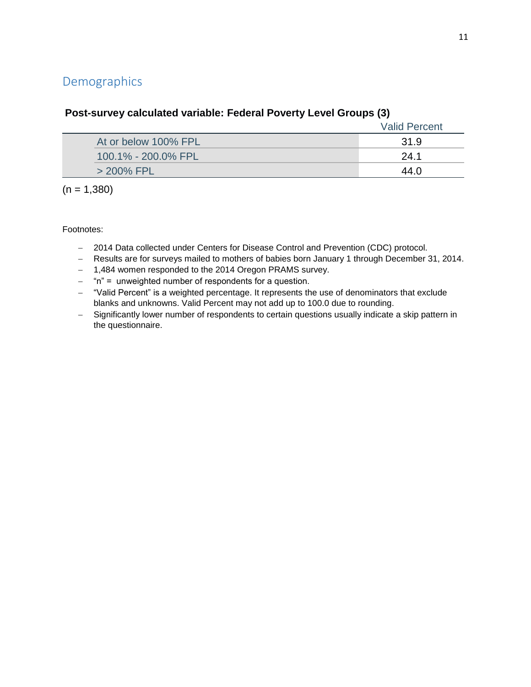# Demographics

|                      | <b>Valid Percent</b> |
|----------------------|----------------------|
| At or below 100% FPL | 31.9                 |
| 100.1% - 200.0% FPL  | 24.1                 |
| > 200% FPL           | 44 N                 |

## **Post-survey calculated variable: Federal Poverty Level Groups (3)**

 $(n = 1,380)$ 

- 2014 Data collected under Centers for Disease Control and Prevention (CDC) protocol.
- Results are for surveys mailed to mothers of babies born January 1 through December 31, 2014.
- 1,484 women responded to the 2014 Oregon PRAMS survey.
- "n" = unweighted number of respondents for a question.
- "Valid Percent" is a weighted percentage. It represents the use of denominators that exclude blanks and unknowns. Valid Percent may not add up to 100.0 due to rounding.
- Significantly lower number of respondents to certain questions usually indicate a skip pattern in the questionnaire.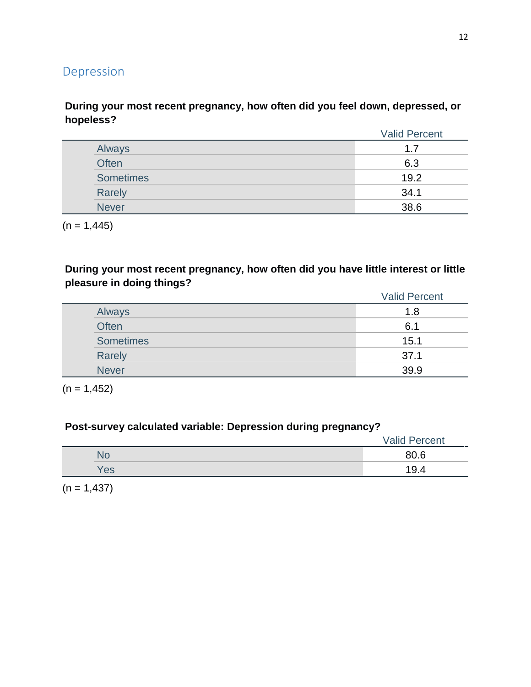# Depression

## **During your most recent pregnancy, how often did you feel down, depressed, or hopeless?**

|              | <b>Valid Percent</b> |
|--------------|----------------------|
| Always       | 1.7                  |
| Often        | 6.3                  |
| Sometimes    | 19.2                 |
| Rarely       | 34.1                 |
| <b>Never</b> | 38.6                 |

 $(n = 1,445)$ 

**During your most recent pregnancy, how often did you have little interest or little pleasure in doing things?**

|                  | <b>Valid Percent</b> |
|------------------|----------------------|
| Always           | 1.8                  |
| <b>Often</b>     | 6.1                  |
| <b>Sometimes</b> | 15.1                 |
| Rarely           | 37.1                 |
| <b>Never</b>     | 39.9                 |

 $(n = 1, 452)$ 

## **Post-survey calculated variable: Depression during pregnancy?**

|           | <b>Valid Percent</b> |
|-----------|----------------------|
| <b>No</b> | 80.6                 |
| Yes       | 19.4                 |

 $(n = 1,437)$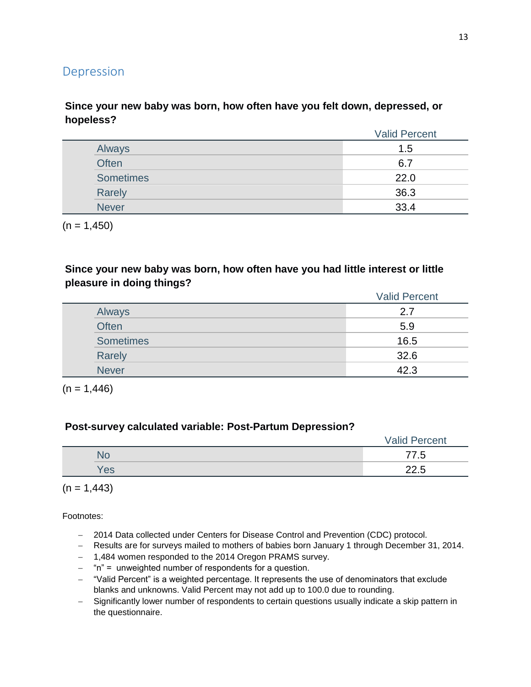## Depression

### **Since your new baby was born, how often have you felt down, depressed, or hopeless?**

|              | <b>Valid Percent</b> |
|--------------|----------------------|
| Always       | 1.5                  |
| Often        | 6.7                  |
| Sometimes    | 22.0                 |
| Rarely       | 36.3                 |
| <b>Never</b> | 33.4                 |

 $(n = 1,450)$ 

### **Since your new baby was born, how often have you had little interest or little pleasure in doing things?**

|                  | <b>Valid Percent</b> |
|------------------|----------------------|
| Always           | 2.7                  |
| <b>Often</b>     | 5.9                  |
| <b>Sometimes</b> | 16.5                 |
| Rarely           | 32.6                 |
| <b>Never</b>     | 42.3                 |

 $(n = 1,446)$ 

#### **Post-survey calculated variable: Post-Partum Depression?**

|           | <b>Valid Percent</b> |
|-----------|----------------------|
| <b>No</b> | 77.5                 |
| Yes       | つつ に                 |

 $(n = 1,443)$ 

- 2014 Data collected under Centers for Disease Control and Prevention (CDC) protocol.
- Results are for surveys mailed to mothers of babies born January 1 through December 31, 2014.
- 1,484 women responded to the 2014 Oregon PRAMS survey.
- $-$  "n" = unweighted number of respondents for a question.
- "Valid Percent" is a weighted percentage. It represents the use of denominators that exclude blanks and unknowns. Valid Percent may not add up to 100.0 due to rounding.
- Significantly lower number of respondents to certain questions usually indicate a skip pattern in the questionnaire.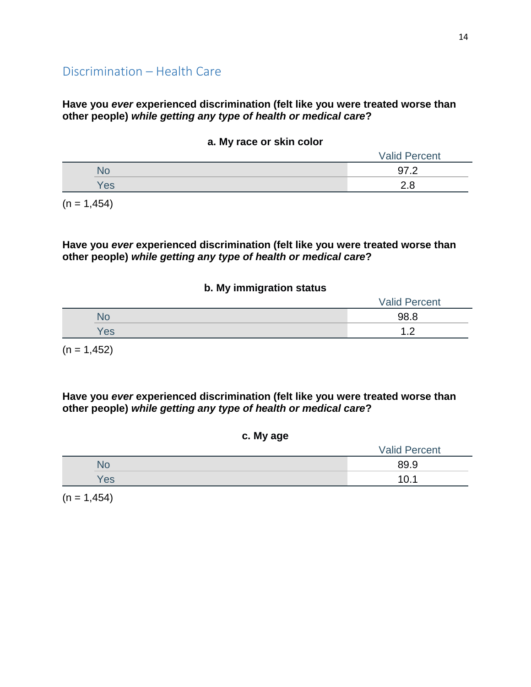#### **Have you** *ever* **experienced discrimination (felt like you were treated worse than other people)** *while getting any type of health or medical care***?**

#### **a. My race or skin color**

| $\overline{\phantom{a}}$ | <b>Valid Percent</b> |
|--------------------------|----------------------|
| ٩o                       | 97.2                 |
| Yes                      | റ ഠ                  |

 $(n = 1,454)$ 

#### **Have you** *ever* **experienced discrimination (felt like you were treated worse than other people)** *while getting any type of health or medical care***?**

#### **b. My immigration status**

|     | <b>Valid Percent</b> |
|-----|----------------------|
| No  | 98.8                 |
| Yes | А<br>. <u>. .</u>    |

 $(n = 1,452)$ 

**Have you** *ever* **experienced discrimination (felt like you were treated worse than other people)** *while getting any type of health or medical care***?**

|  | c. My age |
|--|-----------|
|  |           |

|     | <b>Valid Percent</b> |
|-----|----------------------|
| N٥  | 89.9                 |
| Yes | 10.                  |

 $(n = 1,454)$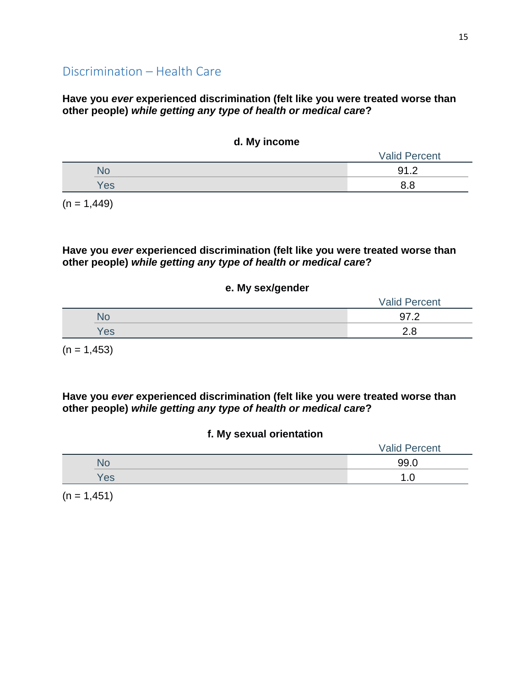### **Have you** *ever* **experienced discrimination (felt like you were treated worse than other people)** *while getting any type of health or medical care***?**

#### **d. My income**

| -   | <b>Valid Percent</b> |
|-----|----------------------|
| NO  | 91.2                 |
| Yes | o o                  |

 $(n = 1,449)$ 

### **Have you** *ever* **experienced discrimination (felt like you were treated worse than other people)** *while getting any type of health or medical care***?**

#### **e. My sex/gender**

|     | <b>Valid Percent</b> |
|-----|----------------------|
| ٧С  | ה דה<br>ັ<br>$-$     |
| Yes | റ റ                  |

 $(n = 1,453)$ 

**Have you** *ever* **experienced discrimination (felt like you were treated worse than other people)** *while getting any type of health or medical care***?**

#### **f. My sexual orientation**

|     | <b>Valid Percent</b> |
|-----|----------------------|
| NO. | 99.0                 |
| Yes |                      |

 $(n = 1,451)$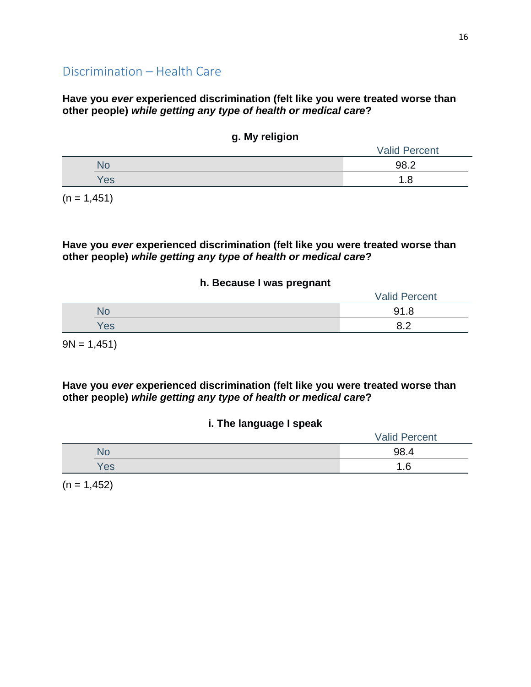### **Have you** *ever* **experienced discrimination (felt like you were treated worse than other people)** *while getting any type of health or medical care***?**

| ສ. …, . …ສ. … |                      |
|---------------|----------------------|
|               | <b>Valid Percent</b> |
|               | 98.2                 |
| Yes           | 1.8                  |
|               |                      |

**g. My religion**

 $(n = 1,451)$ 

**Have you** *ever* **experienced discrimination (felt like you were treated worse than other people)** *while getting any type of health or medical care***?**

#### **h. Because I was pregnant**

|     | <b>Valid Percent</b>        |
|-----|-----------------------------|
| NO  | 91 <sub>2</sub><br>1.0<br>ັ |
| 'es | ററ<br>◡.←                   |

 $9N = 1,451$ 

**Have you** *ever* **experienced discrimination (felt like you were treated worse than other people)** *while getting any type of health or medical care***?**

### **i. The language I speak**

|      | <b>Valid Percent</b> |
|------|----------------------|
| 'NG. | 98.4                 |
| es/  | .6                   |

 $(n = 1,452)$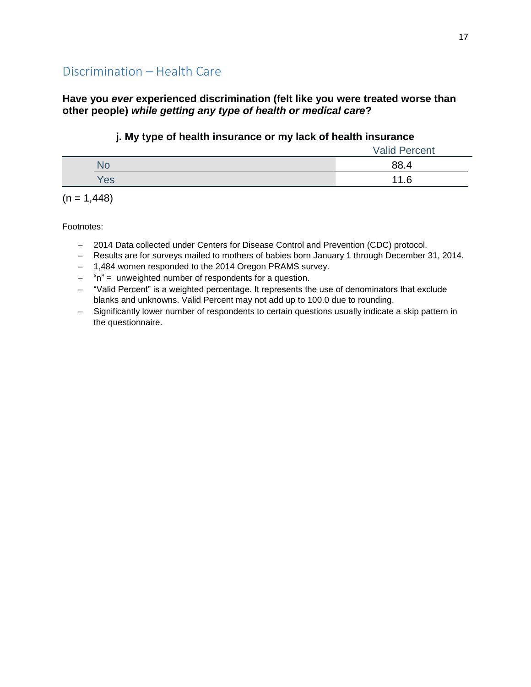### **Have you** *ever* **experienced discrimination (felt like you were treated worse than other people)** *while getting any type of health or medical care***?**

### **j. My type of health insurance or my lack of health insurance**

|     | <b>Valid Percent</b> |
|-----|----------------------|
| NO  | 88.4                 |
| Yes | 11.6                 |

 $(n = 1,448)$ 

- 2014 Data collected under Centers for Disease Control and Prevention (CDC) protocol.
- Results are for surveys mailed to mothers of babies born January 1 through December 31, 2014.
- 1,484 women responded to the 2014 Oregon PRAMS survey.
- $-$  "n" = unweighted number of respondents for a question.
- "Valid Percent" is a weighted percentage. It represents the use of denominators that exclude blanks and unknowns. Valid Percent may not add up to 100.0 due to rounding.
- Significantly lower number of respondents to certain questions usually indicate a skip pattern in the questionnaire.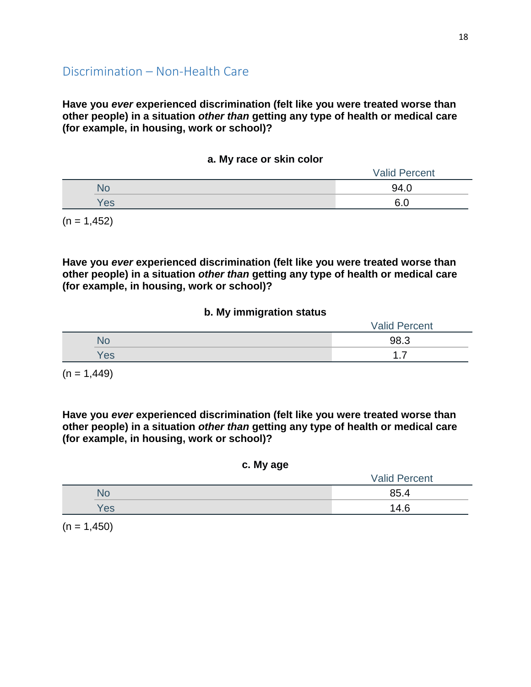**Have you** *ever* **experienced discrimination (felt like you were treated worse than other people) in a situation** *other than* **getting any type of health or medical care (for example, in housing, work or school)?**

#### **a. My race or skin color**

|                 | <b>Valid Percent</b> |
|-----------------|----------------------|
| NU              | 94.0                 |
| 'e <sub>s</sub> | e o                  |

 $(n = 1,452)$ 

**Have you** *ever* **experienced discrimination (felt like you were treated worse than other people) in a situation** *other than* **getting any type of health or medical care (for example, in housing, work or school)?**

#### **b. My immigration status**

|     | <b>Valid Percent</b> |
|-----|----------------------|
| No  | 98.3                 |
| Yes | ⇁                    |

 $(n = 1,449)$ 

**Have you** *ever* **experienced discrimination (felt like you were treated worse than other people) in a situation** *other than* **getting any type of health or medical care (for example, in housing, work or school)?**

#### **c. My age**

|     | <b>Valid Percent</b> |  |
|-----|----------------------|--|
|     | 85.4                 |  |
| Yes | 14.6                 |  |

 $(n = 1,450)$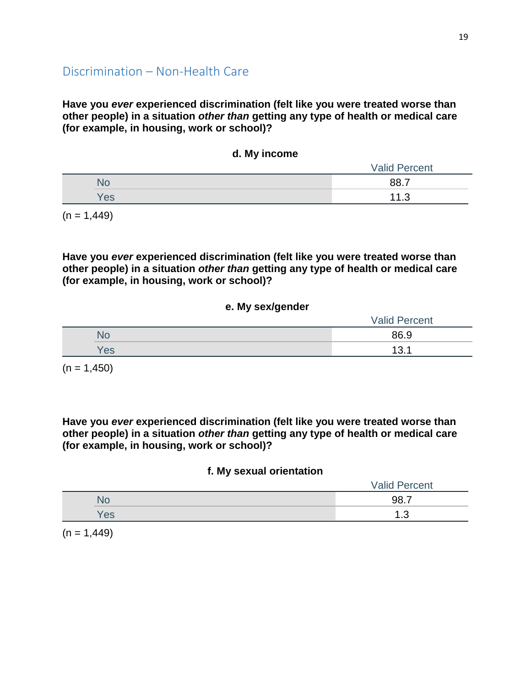**Have you** *ever* **experienced discrimination (felt like you were treated worse than other people) in a situation** *other than* **getting any type of health or medical care (for example, in housing, work or school)?**

|            | <b>Valid Percent</b> |
|------------|----------------------|
| <b>No</b>  | <b>887</b>           |
| <b>Yes</b> | 11.3                 |

**d. My income**

 $(n = 1,449)$ 

**Have you** *ever* **experienced discrimination (felt like you were treated worse than other people) in a situation** *other than* **getting any type of health or medical care (for example, in housing, work or school)?**

#### **e. My sex/gender**

|     | <b>Valid Percent</b> |  |
|-----|----------------------|--|
| NO  | 86.9                 |  |
| Yes | 13.1                 |  |

 $(n = 1,450)$ 

**Have you** *ever* **experienced discrimination (felt like you were treated worse than other people) in a situation** *other than* **getting any type of health or medical care (for example, in housing, work or school)?**

### **f. My sexual orientation**

|      | <b>Valid Percent</b> |  |
|------|----------------------|--|
| 'NG. | 98.7                 |  |
| es   | ╭<br>ט               |  |

 $(n = 1,449)$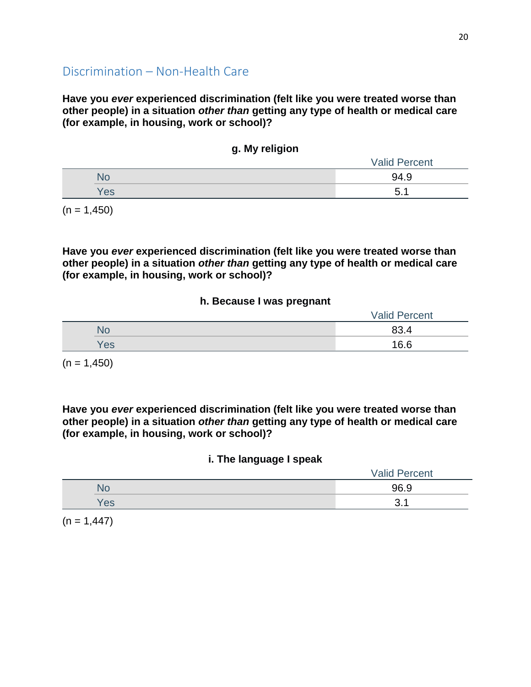**Have you** *ever* **experienced discrimination (felt like you were treated worse than other people) in a situation** *other than* **getting any type of health or medical care (for example, in housing, work or school)?**

|  | g. My religion |
|--|----------------|
|  |                |

|     | <b>Valid Percent</b> |
|-----|----------------------|
|     | 94.9                 |
| Yes | π<br>◡.              |

 $(n = 1,450)$ 

**Have you** *ever* **experienced discrimination (felt like you were treated worse than other people) in a situation** *other than* **getting any type of health or medical care (for example, in housing, work or school)?**

#### **h. Because I was pregnant**

|     | <b>Valid Percent</b> |
|-----|----------------------|
| NС  | 83.4                 |
| 'es | 16.6                 |

 $(n = 1,450)$ 

**Have you** *ever* **experienced discrimination (felt like you were treated worse than other people) in a situation** *other than* **getting any type of health or medical care (for example, in housing, work or school)?**

#### **i. The language I speak**

|    | <b>Valid Percent</b> |
|----|----------------------|
|    | 96.9                 |
| es |                      |

 $(n = 1,447)$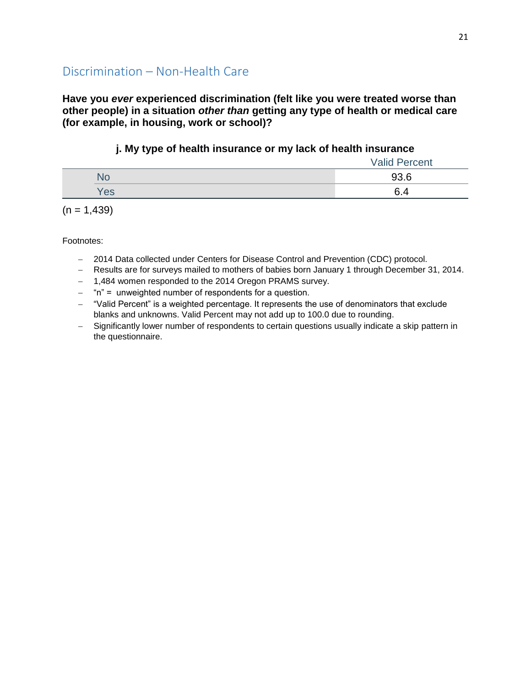**Have you** *ever* **experienced discrimination (felt like you were treated worse than other people) in a situation** *other than* **getting any type of health or medical care (for example, in housing, work or school)?**

## **j. My type of health insurance or my lack of health insurance**

|     | <b>Valid Percent</b> |
|-----|----------------------|
|     | 93.6                 |
| Yes | 6.4                  |

 $(n = 1,439)$ 

- 2014 Data collected under Centers for Disease Control and Prevention (CDC) protocol.
- Results are for surveys mailed to mothers of babies born January 1 through December 31, 2014.
- 1,484 women responded to the 2014 Oregon PRAMS survey.
- $-$  "n" = unweighted number of respondents for a question.
- "Valid Percent" is a weighted percentage. It represents the use of denominators that exclude blanks and unknowns. Valid Percent may not add up to 100.0 due to rounding.
- Significantly lower number of respondents to certain questions usually indicate a skip pattern in the questionnaire.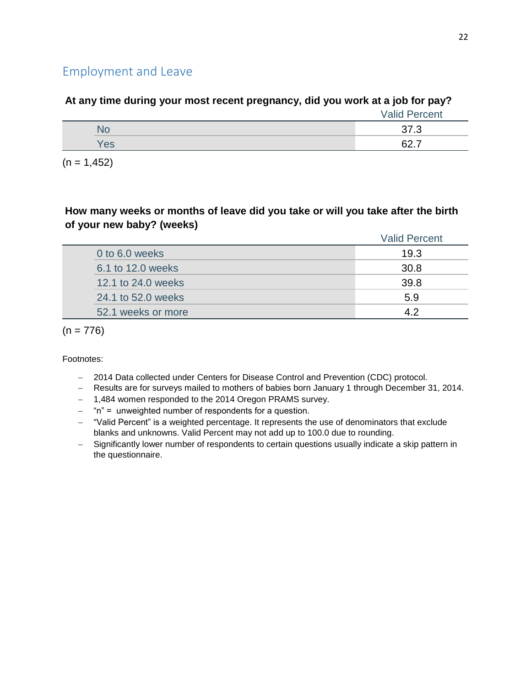# Employment and Leave

# **At any time during your most recent pregnancy, did you work at a job for pay?**

|     | <b>Valid Percent</b> |
|-----|----------------------|
|     | 27.2<br>ن. ان        |
| Yes | ດລ<br>-<br><u>v </u> |

 $(n = 1, 452)$ 

## **How many weeks or months of leave did you take or will you take after the birth of your new baby? (weeks)**

|                    | <b>Valid Percent</b> |
|--------------------|----------------------|
| 0 to 6.0 weeks     | 19.3                 |
| 6.1 to 12.0 weeks  | 30.8                 |
| 12.1 to 24.0 weeks | 39.8                 |
| 24.1 to 52.0 weeks | 5.9                  |
| 52.1 weeks or more | ィっ                   |

 $(n = 776)$ 

- 2014 Data collected under Centers for Disease Control and Prevention (CDC) protocol.
- Results are for surveys mailed to mothers of babies born January 1 through December 31, 2014.
- 1,484 women responded to the 2014 Oregon PRAMS survey.
- $-$  "n" = unweighted number of respondents for a question.
- "Valid Percent" is a weighted percentage. It represents the use of denominators that exclude blanks and unknowns. Valid Percent may not add up to 100.0 due to rounding.
- Significantly lower number of respondents to certain questions usually indicate a skip pattern in the questionnaire.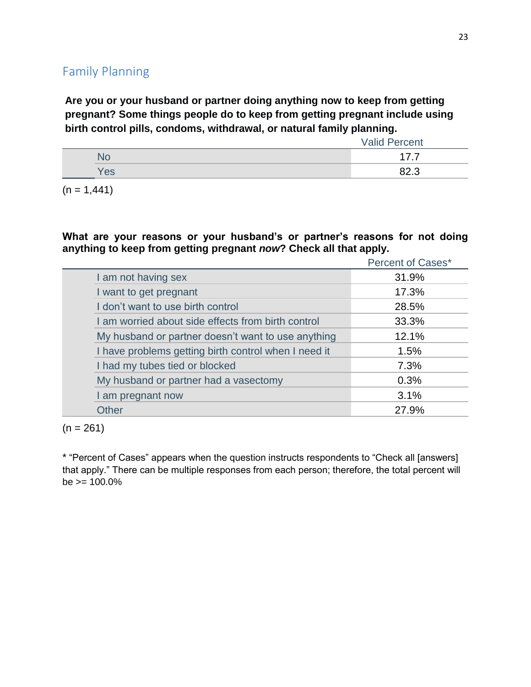# Family Planning

**Are you or your husband or partner doing anything now to keep from getting pregnant? Some things people do to keep from getting pregnant include using birth control pills, condoms, withdrawal, or natural family planning.**

|     | <b>Valid Percent</b> |
|-----|----------------------|
|     |                      |
| Yes | 82.3                 |

 $(n = 1,441)$ 

**What are your reasons or your husband's or partner's reasons for not doing anything to keep from getting pregnant** *now***? Check all that apply.**

|                                                      | <b>Percent of Cases*</b> |
|------------------------------------------------------|--------------------------|
| I am not having sex                                  | 31.9%                    |
| I want to get pregnant                               | 17.3%                    |
| I don't want to use birth control                    | 28.5%                    |
| I am worried about side effects from birth control   | 33.3%                    |
| My husband or partner doesn't want to use anything   | 12.1%                    |
| I have problems getting birth control when I need it | 1.5%                     |
| I had my tubes tied or blocked                       | 7.3%                     |
| My husband or partner had a vasectomy                | 0.3%                     |
| I am pregnant now                                    | 3.1%                     |
| Other                                                | 27.9%                    |

 $(n = 261)$ 

\* "Percent of Cases" appears when the question instructs respondents to "Check all [answers] that apply." There can be multiple responses from each person; therefore, the total percent will  $be$  >= 100.0%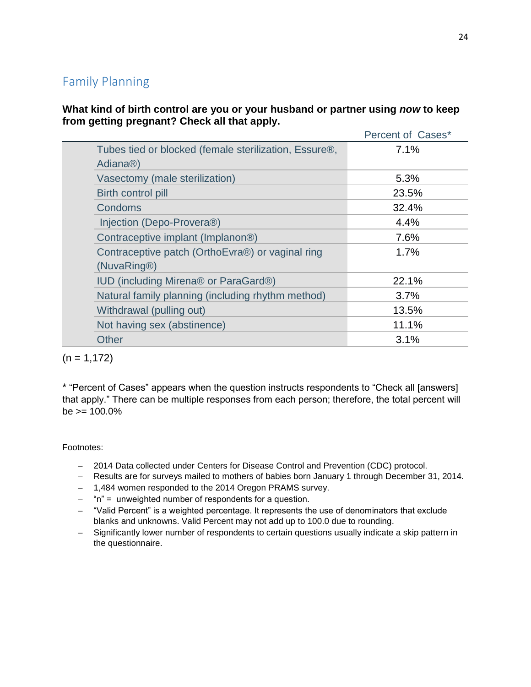# Family Planning

**What kind of birth control are you or your husband or partner using** *now* **to keep from getting pregnant? Check all that apply.**

|                                                                                             | Percent of Cases* |
|---------------------------------------------------------------------------------------------|-------------------|
| Tubes tied or blocked (female sterilization, Essure <sup>®</sup> ,<br>Adiana <sup>®</sup> ) | 7.1%              |
| Vasectomy (male sterilization)                                                              | 5.3%              |
| Birth control pill                                                                          | 23.5%             |
| Condoms                                                                                     | 32.4%             |
| Injection (Depo-Provera <sup>®</sup> )                                                      | 4.4%              |
| Contraceptive implant (Implanon <sup>®)</sup>                                               | 7.6%              |
| Contraceptive patch (OrthoEvra®) or vaginal ring<br>(NuvaRing®)                             | 1.7%              |
| <b>IUD</b> (including Mirena® or ParaGard®)                                                 | 22.1%             |
| Natural family planning (including rhythm method)                                           | 3.7%              |
| Withdrawal (pulling out)                                                                    | 13.5%             |
| Not having sex (abstinence)                                                                 | 11.1%             |
| <b>Other</b>                                                                                | 3.1%              |
|                                                                                             |                   |

 $(n = 1, 172)$ 

\* "Percent of Cases" appears when the question instructs respondents to "Check all [answers] that apply." There can be multiple responses from each person; therefore, the total percent will  $be = 100.0\%$ 

- 2014 Data collected under Centers for Disease Control and Prevention (CDC) protocol.
- Results are for surveys mailed to mothers of babies born January 1 through December 31, 2014.
- 1,484 women responded to the 2014 Oregon PRAMS survey.
- $-$  "n" = unweighted number of respondents for a question.
- "Valid Percent" is a weighted percentage. It represents the use of denominators that exclude blanks and unknowns. Valid Percent may not add up to 100.0 due to rounding.
- Significantly lower number of respondents to certain questions usually indicate a skip pattern in the questionnaire.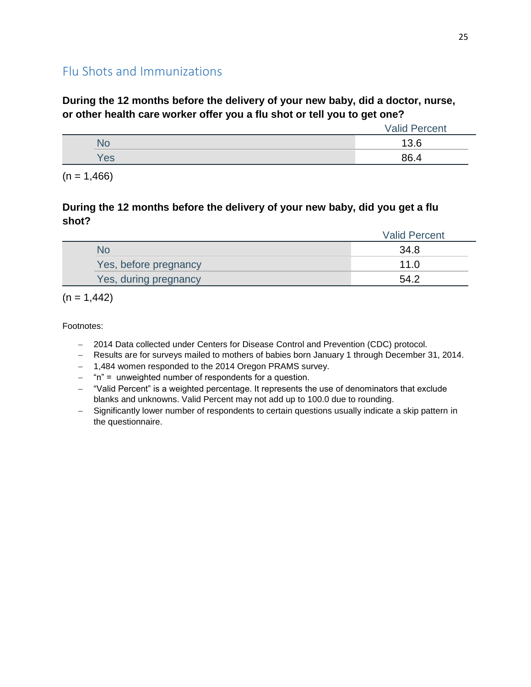# Flu Shots and Immunizations

## **During the 12 months before the delivery of your new baby, did a doctor, nurse, or other health care worker offer you a flu shot or tell you to get one?**

|           | <b>Valid Percent</b> |
|-----------|----------------------|
| <b>NU</b> | 13.6                 |
| Yes       | 86.4                 |

 $(n = 1,466)$ 

## **During the 12 months before the delivery of your new baby, did you get a flu shot?**

|                       | <b>Valid Percent</b> |
|-----------------------|----------------------|
| No                    | 34.8                 |
| Yes, before pregnancy | 11 O                 |
| Yes, during pregnancy | 54.2                 |

 $(n = 1,442)$ 

- 2014 Data collected under Centers for Disease Control and Prevention (CDC) protocol.
- Results are for surveys mailed to mothers of babies born January 1 through December 31, 2014.
- 1,484 women responded to the 2014 Oregon PRAMS survey.
- $-$  "n" = unweighted number of respondents for a question.
- "Valid Percent" is a weighted percentage. It represents the use of denominators that exclude blanks and unknowns. Valid Percent may not add up to 100.0 due to rounding.
- Significantly lower number of respondents to certain questions usually indicate a skip pattern in the questionnaire.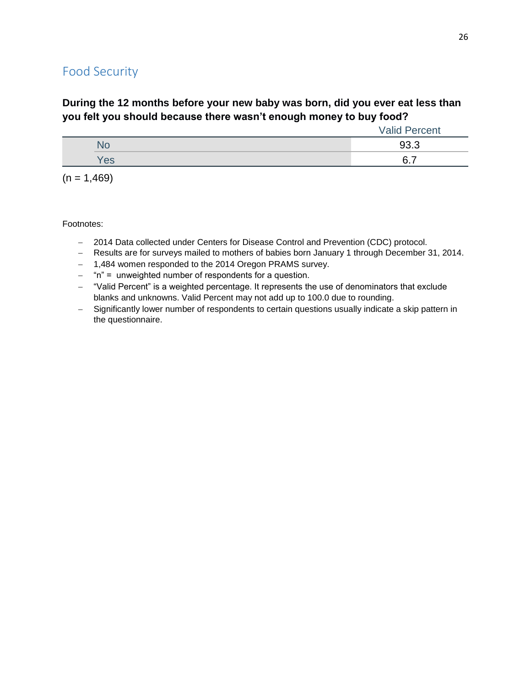# Food Security

# **During the 12 months before your new baby was born, did you ever eat less than you felt you should because there wasn't enough money to buy food?**

|     | <b>Valid Percent</b> |
|-----|----------------------|
| NO  | 93.3                 |
| Yes | –<br>6.              |

 $(n = 1,469)$ 

- 2014 Data collected under Centers for Disease Control and Prevention (CDC) protocol.
- Results are for surveys mailed to mothers of babies born January 1 through December 31, 2014.
- 1,484 women responded to the 2014 Oregon PRAMS survey.
- $-$  "n" = unweighted number of respondents for a question.
- "Valid Percent" is a weighted percentage. It represents the use of denominators that exclude blanks and unknowns. Valid Percent may not add up to 100.0 due to rounding.
- Significantly lower number of respondents to certain questions usually indicate a skip pattern in the questionnaire.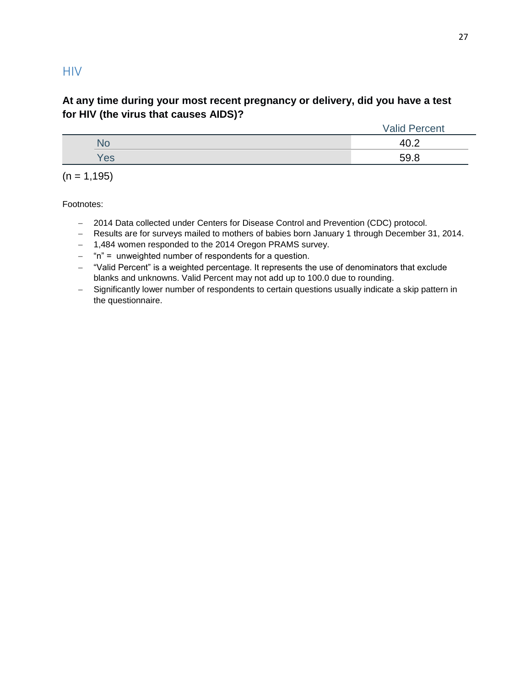## **HIV**

## **At any time during your most recent pregnancy or delivery, did you have a test for HIV (the virus that causes AIDS)?**

|     | <b>Valid Percent</b> |  |
|-----|----------------------|--|
| NО  | 40.2                 |  |
| Yes | 59.8                 |  |

 $(n = 1, 195)$ 

- 2014 Data collected under Centers for Disease Control and Prevention (CDC) protocol.
- Results are for surveys mailed to mothers of babies born January 1 through December 31, 2014.
- 1,484 women responded to the 2014 Oregon PRAMS survey.
- "n" = unweighted number of respondents for a question.
- "Valid Percent" is a weighted percentage. It represents the use of denominators that exclude blanks and unknowns. Valid Percent may not add up to 100.0 due to rounding.
- Significantly lower number of respondents to certain questions usually indicate a skip pattern in the questionnaire.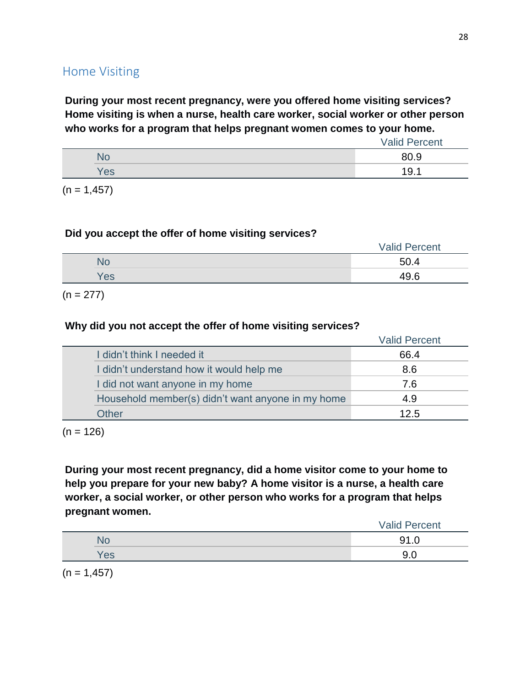# Home Visiting

**During your most recent pregnancy, were you offered home visiting services? Home visiting is when a nurse, health care worker, social worker or other person who works for a program that helps pregnant women comes to your home.**

|     | <b>Valid Percent</b> |
|-----|----------------------|
|     | 80.9                 |
| Yes | 19.1                 |

 $(n = 1, 457)$ 

#### **Did you accept the offer of home visiting services?**

|     | <b>Valid Percent</b> |
|-----|----------------------|
|     | 50.4                 |
| Yes | 10 G                 |

 $(n = 277)$ 

## **Why did you not accept the offer of home visiting services?**

|                                                   | <b>Valid Percent</b> |
|---------------------------------------------------|----------------------|
| I didn't think I needed it                        | 66.4                 |
| I didn't understand how it would help me          | 8.6                  |
| I did not want anyone in my home                  | 7.6                  |
| Household member(s) didn't want anyone in my home | 4.9                  |
| Other                                             | 12.5                 |

 $(n = 126)$ 

**During your most recent pregnancy, did a home visitor come to your home to help you prepare for your new baby? A home visitor is a nurse, a health care worker, a social worker, or other person who works for a program that helps pregnant women.**

|     | <b>Valid Percent</b> |
|-----|----------------------|
| No  | 91                   |
| Yes |                      |
|     |                      |

 $(n = 1, 457)$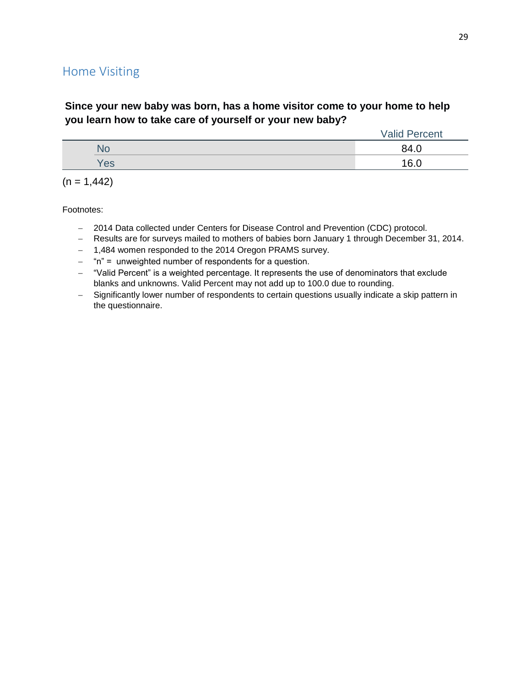# Home Visiting

## **Since your new baby was born, has a home visitor come to your home to help you learn how to take care of yourself or your new baby?**

|     | <b>Valid Percent</b> |
|-----|----------------------|
| N۵  | 84.0                 |
| Yes | 16n                  |

|  |  | $(n = 1,442)$ |
|--|--|---------------|
|--|--|---------------|

- 2014 Data collected under Centers for Disease Control and Prevention (CDC) protocol.
- Results are for surveys mailed to mothers of babies born January 1 through December 31, 2014.
- 1,484 women responded to the 2014 Oregon PRAMS survey.
- "n" = unweighted number of respondents for a question.
- "Valid Percent" is a weighted percentage. It represents the use of denominators that exclude blanks and unknowns. Valid Percent may not add up to 100.0 due to rounding.
- Significantly lower number of respondents to certain questions usually indicate a skip pattern in the questionnaire.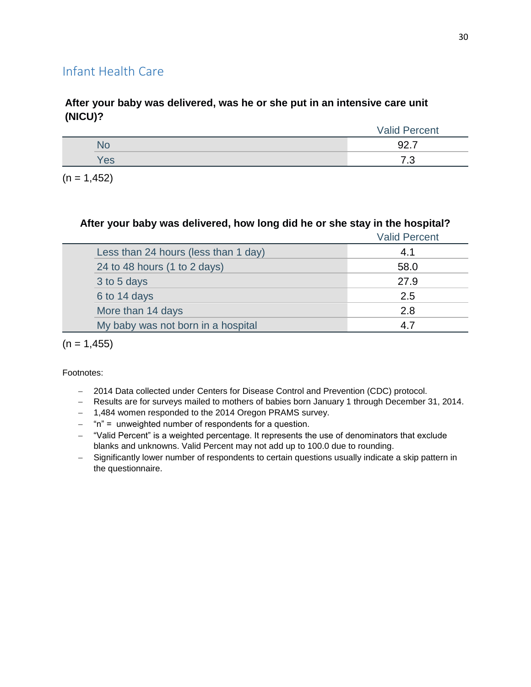# Infant Health Care

## **After your baby was delivered, was he or she put in an intensive care unit (NICU)?**

|     | Valid<br>Percent |
|-----|------------------|
|     | Q2<br>–<br>JZ.I  |
| Yes | ⇁<br>ں.          |

 $(n = 1, 452)$ 

## **After your baby was delivered, how long did he or she stay in the hospital?**

|                                      | <b>Valid Percent</b> |
|--------------------------------------|----------------------|
| Less than 24 hours (less than 1 day) | 4.1                  |
| 24 to 48 hours (1 to 2 days)         | 58.0                 |
| 3 to 5 days                          | 27.9                 |
| 6 to 14 days                         | 2.5                  |
| More than 14 days                    | 2.8                  |
| My baby was not born in a hospital   |                      |
|                                      |                      |

 $(n = 1, 455)$ 

- 2014 Data collected under Centers for Disease Control and Prevention (CDC) protocol.
- Results are for surveys mailed to mothers of babies born January 1 through December 31, 2014.
- 1,484 women responded to the 2014 Oregon PRAMS survey.
- $-$  "n" = unweighted number of respondents for a question.
- "Valid Percent" is a weighted percentage. It represents the use of denominators that exclude blanks and unknowns. Valid Percent may not add up to 100.0 due to rounding.
- Significantly lower number of respondents to certain questions usually indicate a skip pattern in the questionnaire.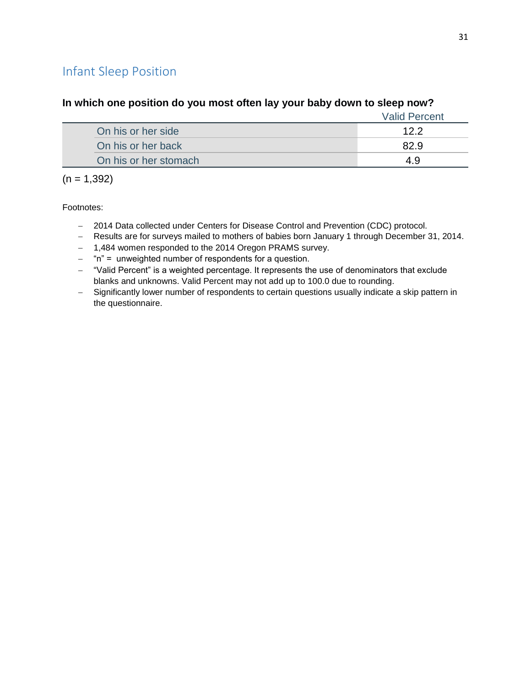# Infant Sleep Position

|                       | <b>Valid Percent</b> |
|-----------------------|----------------------|
| On his or her side    | 12.2                 |
| On his or her back    | 82.9                 |
| On his or her stomach |                      |

#### **In which one position do you most often lay your baby down to sleep now?**

 $(n = 1,392)$ 

- 2014 Data collected under Centers for Disease Control and Prevention (CDC) protocol.
- Results are for surveys mailed to mothers of babies born January 1 through December 31, 2014.
- 1,484 women responded to the 2014 Oregon PRAMS survey.
- $-$  "n" = unweighted number of respondents for a question.
- "Valid Percent" is a weighted percentage. It represents the use of denominators that exclude blanks and unknowns. Valid Percent may not add up to 100.0 due to rounding.
- Significantly lower number of respondents to certain questions usually indicate a skip pattern in the questionnaire.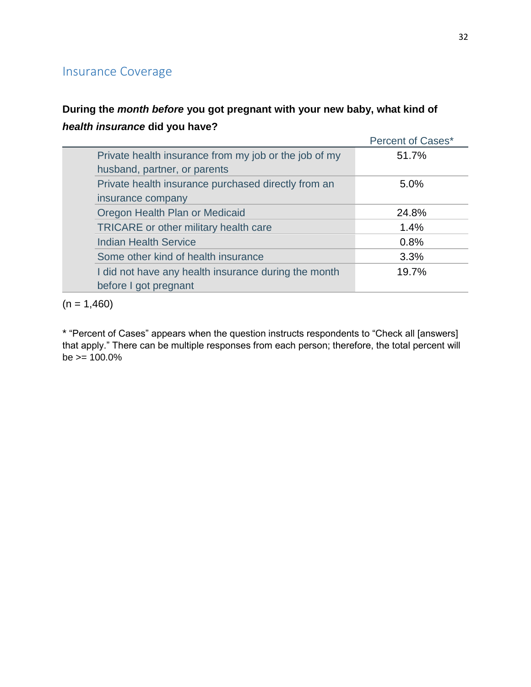# Insurance Coverage

# **During the** *month before* **you got pregnant with your new baby, what kind of**  *health insurance* **did you have?**

|                                                       | Percent of Cases* |
|-------------------------------------------------------|-------------------|
| Private health insurance from my job or the job of my | 51.7%             |
| husband, partner, or parents                          |                   |
| Private health insurance purchased directly from an   | 5.0%              |
| insurance company                                     |                   |
| Oregon Health Plan or Medicaid                        | 24.8%             |
| TRICARE or other military health care                 | 1.4%              |
| <b>Indian Health Service</b>                          | 0.8%              |
| Some other kind of health insurance                   | 3.3%              |
| I did not have any health insurance during the month  | 19.7%             |
| before I got pregnant                                 |                   |

 $(n = 1,460)$ 

\* "Percent of Cases" appears when the question instructs respondents to "Check all [answers] that apply." There can be multiple responses from each person; therefore, the total percent will  $be = 100.0\%$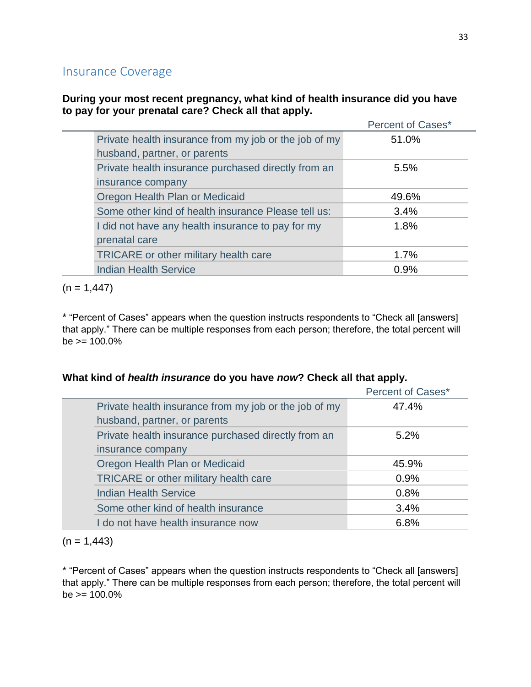# Insurance Coverage

## **During your most recent pregnancy, what kind of health insurance did you have to pay for your prenatal care? Check all that apply.**

|                                                       | <b>Percent of Cases*</b> |
|-------------------------------------------------------|--------------------------|
| Private health insurance from my job or the job of my | 51.0%                    |
| husband, partner, or parents                          |                          |
| Private health insurance purchased directly from an   | 5.5%                     |
| insurance company                                     |                          |
| Oregon Health Plan or Medicaid                        | 49.6%                    |
| Some other kind of health insurance Please tell us:   | 3.4%                     |
| I did not have any health insurance to pay for my     | 1.8%                     |
| prenatal care                                         |                          |
| <b>TRICARE</b> or other military health care          | 1.7%                     |
| <b>Indian Health Service</b>                          | 0.9%                     |

 $(n = 1,447)$ 

\* "Percent of Cases" appears when the question instructs respondents to "Check all [answers] that apply." There can be multiple responses from each person; therefore, the total percent will  $be \ge 100.0\%$ 

### **What kind of** *health insurance* **do you have** *now***? Check all that apply.**

|                                       |                                                       | <b>Percent of Cases*</b> |
|---------------------------------------|-------------------------------------------------------|--------------------------|
|                                       | Private health insurance from my job or the job of my | 47.4%                    |
| husband, partner, or parents          |                                                       |                          |
|                                       | Private health insurance purchased directly from an   | $5.2\%$                  |
| insurance company                     |                                                       |                          |
| Oregon Health Plan or Medicaid        |                                                       | 45.9%                    |
| TRICARE or other military health care |                                                       | 0.9%                     |
| <b>Indian Health Service</b>          |                                                       | 0.8%                     |
| Some other kind of health insurance   |                                                       | 3.4%                     |
| I do not have health insurance now    |                                                       | 6.8%                     |
|                                       |                                                       |                          |

 $(n = 1,443)$ 

\* "Percent of Cases" appears when the question instructs respondents to "Check all [answers] that apply." There can be multiple responses from each person; therefore, the total percent will  $be = 100.0\%$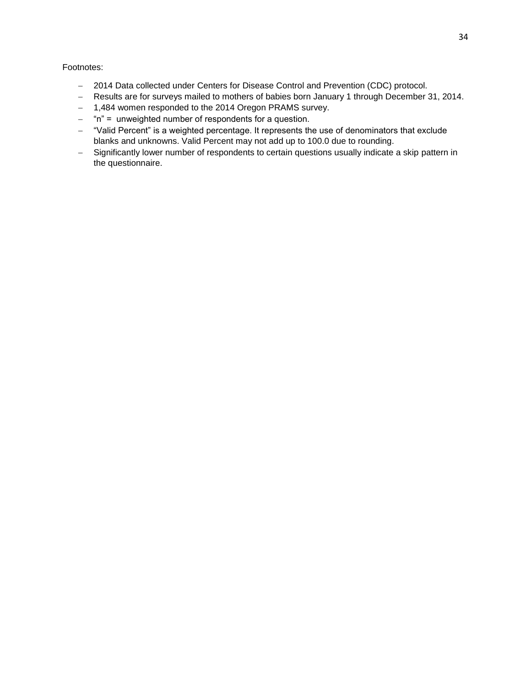- 2014 Data collected under Centers for Disease Control and Prevention (CDC) protocol.
- Results are for surveys mailed to mothers of babies born January 1 through December 31, 2014.
- 1,484 women responded to the 2014 Oregon PRAMS survey.
- $-$  "n" = unweighted number of respondents for a question.
- "Valid Percent" is a weighted percentage. It represents the use of denominators that exclude blanks and unknowns. Valid Percent may not add up to 100.0 due to rounding.
- Significantly lower number of respondents to certain questions usually indicate a skip pattern in the questionnaire.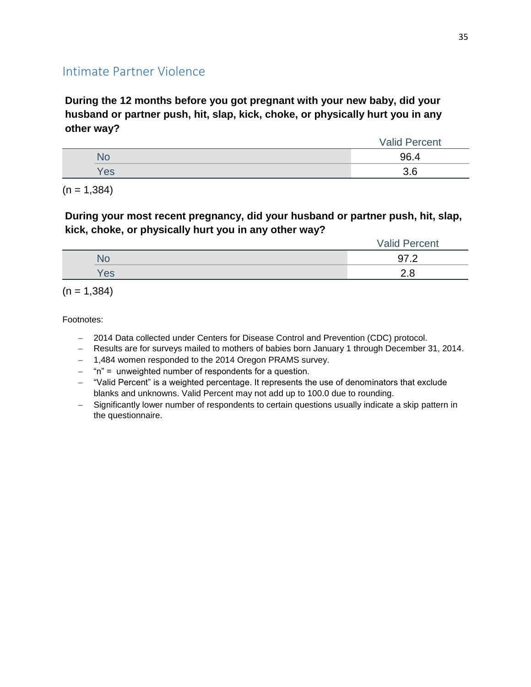# Intimate Partner Violence

**During the 12 months before you got pregnant with your new baby, did your husband or partner push, hit, slap, kick, choke, or physically hurt you in any other way?**

|     | <b>Valid Percent</b> |
|-----|----------------------|
|     | 96.4                 |
| Yes | 3.6                  |

 $(n = 1,384)$ 

## **During your most recent pregnancy, did your husband or partner push, hit, slap, kick, choke, or physically hurt you in any other way?**

|     | <b>Valid Percent</b> |
|-----|----------------------|
| ЧU  | ר דה<br>$-$          |
| Yes |                      |

 $(n = 1,384)$ 

- 2014 Data collected under Centers for Disease Control and Prevention (CDC) protocol.
- Results are for surveys mailed to mothers of babies born January 1 through December 31, 2014.
- 1,484 women responded to the 2014 Oregon PRAMS survey.
- "n" = unweighted number of respondents for a question.
- "Valid Percent" is a weighted percentage. It represents the use of denominators that exclude blanks and unknowns. Valid Percent may not add up to 100.0 due to rounding.
- Significantly lower number of respondents to certain questions usually indicate a skip pattern in the questionnaire.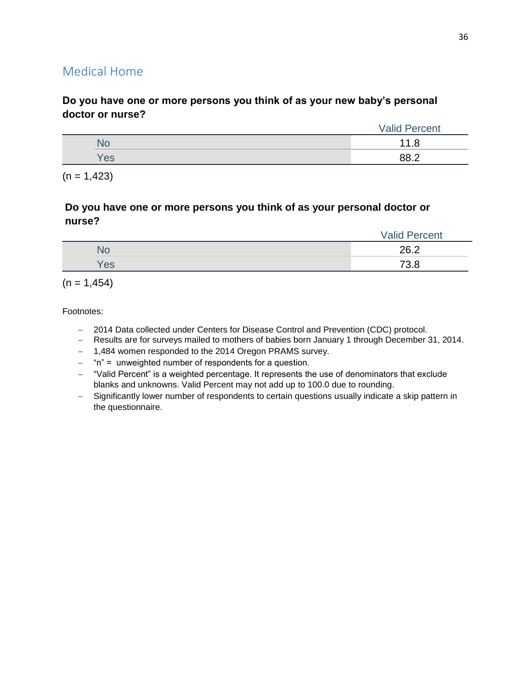# Medical Home

## **Do you have one or more persons you think of as your new baby's personal doctor or nurse?**

|     | <b>Valid Percent</b> |
|-----|----------------------|
| NU  |                      |
| 'es | ററെ റ                |

 $(n = 1,423)$ 

## **Do you have one or more persons you think of as your personal doctor or nurse?**

|     | <b>Valid Percent</b> |
|-----|----------------------|
| ٧С  | 262                  |
| Yes | 7റ റ<br>v.u          |

 $(n = 1,454)$ 

- 2014 Data collected under Centers for Disease Control and Prevention (CDC) protocol.
- Results are for surveys mailed to mothers of babies born January 1 through December 31, 2014.
- 1,484 women responded to the 2014 Oregon PRAMS survey.
- "n" = unweighted number of respondents for a question.
- "Valid Percent" is a weighted percentage. It represents the use of denominators that exclude blanks and unknowns. Valid Percent may not add up to 100.0 due to rounding.
- Significantly lower number of respondents to certain questions usually indicate a skip pattern in the questionnaire.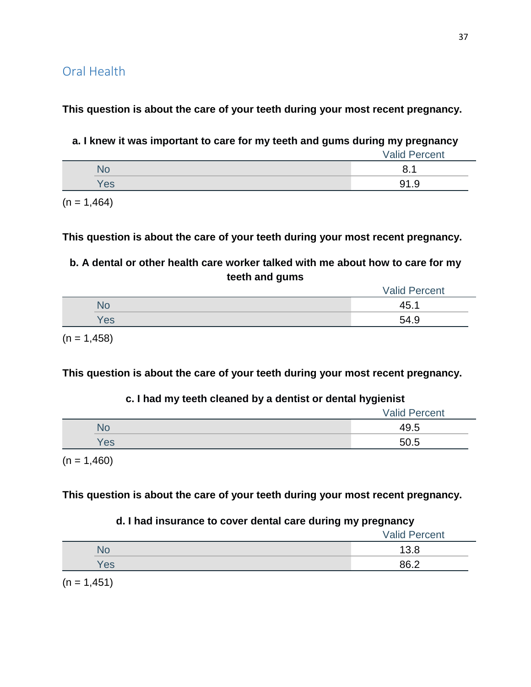**This question is about the care of your teeth during your most recent pregnancy.**

**a. I knew it was important to care for my teeth and gums during my pregnancy**

|           | <b>Valid Percent</b> |
|-----------|----------------------|
| <b>NU</b> |                      |
| /es       | 91.9                 |

 $(n = 1,464)$ 

**This question is about the care of your teeth during your most recent pregnancy.**

**b. A dental or other health care worker talked with me about how to care for my teeth and gums**

|     | <b>Valid Percent</b> |
|-----|----------------------|
| ЧU  | 45                   |
| Yes | 54.9                 |
|     |                      |

 $(n = 1,458)$ 

**This question is about the care of your teeth during your most recent pregnancy.**

## **c. I had my teeth cleaned by a dentist or dental hygienist**

|     | <b>Valid Percent</b> |
|-----|----------------------|
|     | 49.5                 |
| Yes | 50.5                 |
|     |                      |

 $(n = 1,460)$ 

**This question is about the care of your teeth during your most recent pregnancy.**

## **d. I had insurance to cover dental care during my pregnancy**

|     | <b>Valid Percent</b> |
|-----|----------------------|
| NO  | 13.8                 |
| Yes | 86.2                 |
|     |                      |

 $(n = 1, 451)$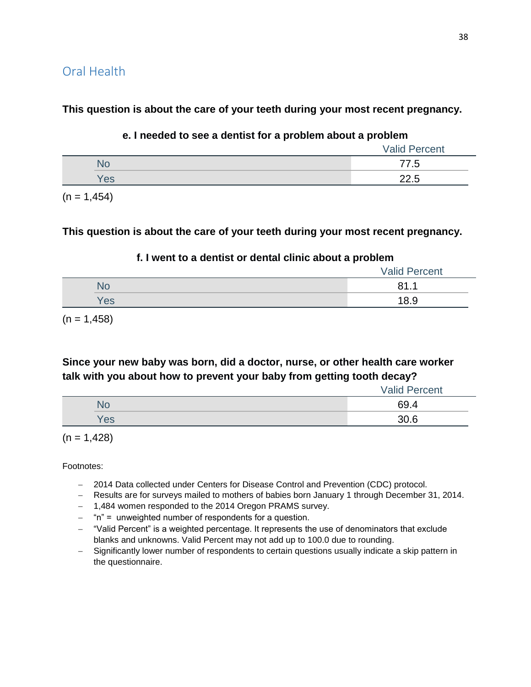## Oral Health

**This question is about the care of your teeth during your most recent pregnancy.**

#### **e. I needed to see a dentist for a problem about a problem**

|     | <b>Valid Percent</b> |
|-----|----------------------|
| No  | 77.5                 |
| Yes | 22.5                 |

 $(n = 1, 454)$ 

#### **This question is about the care of your teeth during your most recent pregnancy.**

#### **f. I went to a dentist or dental clinic about a problem**

|     | <b>Valid Percent</b> |
|-----|----------------------|
| NO  | 04                   |
| Yes | 18.9                 |

 $(n = 1,458)$ 

## **Since your new baby was born, did a doctor, nurse, or other health care worker talk with you about how to prevent your baby from getting tooth decay?**

|           | <b>Valid Percent</b> |
|-----------|----------------------|
| <b>NU</b> | 69.4                 |
| Yes       | 30.6                 |

 $(n = 1,428)$ 

- 2014 Data collected under Centers for Disease Control and Prevention (CDC) protocol.
- Results are for surveys mailed to mothers of babies born January 1 through December 31, 2014.
- 1,484 women responded to the 2014 Oregon PRAMS survey.
- $-$  "n" = unweighted number of respondents for a question.
- "Valid Percent" is a weighted percentage. It represents the use of denominators that exclude blanks and unknowns. Valid Percent may not add up to 100.0 due to rounding.
- Significantly lower number of respondents to certain questions usually indicate a skip pattern in the questionnaire.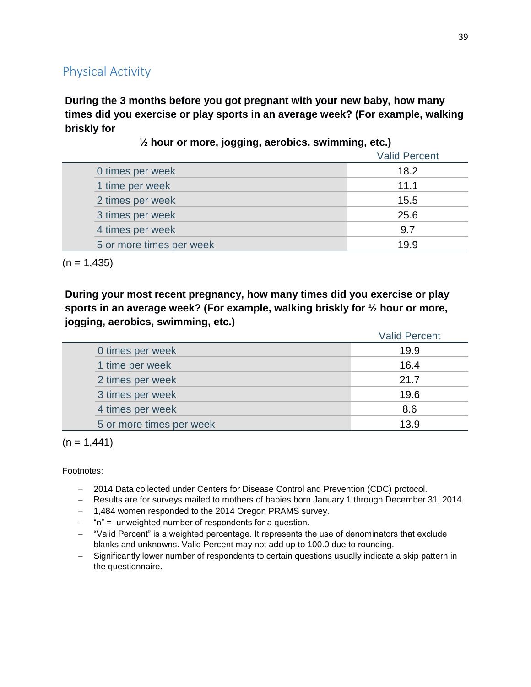## Physical Activity

**During the 3 months before you got pregnant with your new baby, how many times did you exercise or play sports in an average week? (For example, walking briskly for** 

|                          | <b>Valid Percent</b> |
|--------------------------|----------------------|
| 0 times per week         | 18.2                 |
| 1 time per week          | 11.1                 |
| 2 times per week         | 15.5                 |
| 3 times per week         | 25.6                 |
| 4 times per week         | 9.7                  |
| 5 or more times per week | 19.9                 |

**½ hour or more, jogging, aerobics, swimming, etc.)**

 $(n = 1,435)$ 

**During your most recent pregnancy, how many times did you exercise or play sports in an average week? (For example, walking briskly for ½ hour or more, jogging, aerobics, swimming, etc.)**

|                          | <b>Valid Percent</b> |
|--------------------------|----------------------|
| 0 times per week         | 19.9                 |
| 1 time per week          | 16.4                 |
| 2 times per week         | 21.7                 |
| 3 times per week         | 19.6                 |
| 4 times per week         | 8.6                  |
| 5 or more times per week | 13.9                 |

 $(n = 1,441)$ 

- 2014 Data collected under Centers for Disease Control and Prevention (CDC) protocol.
- Results are for surveys mailed to mothers of babies born January 1 through December 31, 2014.
- 1,484 women responded to the 2014 Oregon PRAMS survey.
- $-$  "n" = unweighted number of respondents for a question.
- "Valid Percent" is a weighted percentage. It represents the use of denominators that exclude blanks and unknowns. Valid Percent may not add up to 100.0 due to rounding.
- Significantly lower number of respondents to certain questions usually indicate a skip pattern in the questionnaire.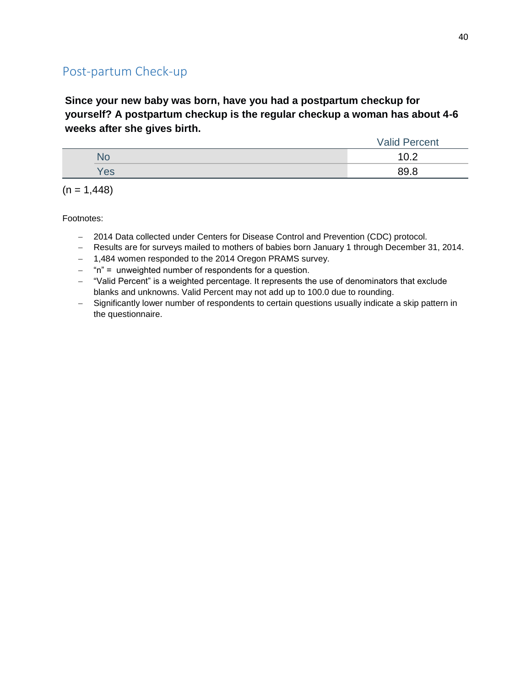# Post-partum Check-up

**Since your new baby was born, have you had a postpartum checkup for yourself? A postpartum checkup is the regular checkup a woman has about 4-6 weeks after she gives birth.**

|     | <b>Valid Percent</b> |
|-----|----------------------|
| NO  | ィヘ へ<br>.            |
| Yes | 89 R                 |

 $(n = 1,448)$ 

- 2014 Data collected under Centers for Disease Control and Prevention (CDC) protocol.
- Results are for surveys mailed to mothers of babies born January 1 through December 31, 2014.
- 1,484 women responded to the 2014 Oregon PRAMS survey.
- $-$  "n" = unweighted number of respondents for a question.
- "Valid Percent" is a weighted percentage. It represents the use of denominators that exclude blanks and unknowns. Valid Percent may not add up to 100.0 due to rounding.
- Significantly lower number of respondents to certain questions usually indicate a skip pattern in the questionnaire.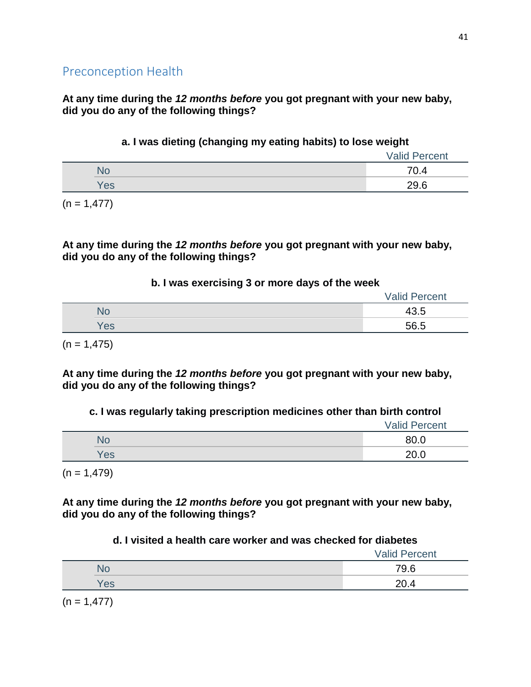**At any time during the** *12 months before* **you got pregnant with your new baby, did you do any of the following things?**

### **a. I was dieting (changing my eating habits) to lose weight**

|     | <b>Valid Percent</b> |
|-----|----------------------|
|     | 70.4                 |
| Yes | 29.6                 |

 $(n = 1,477)$ 

#### **At any time during the** *12 months before* **you got pregnant with your new baby, did you do any of the following things?**

### **b. I was exercising 3 or more days of the week**

|     | <b>Valid Percent</b> |
|-----|----------------------|
| NO  | 43.5                 |
| /es | 56.5                 |

 $(n = 1,475)$ 

**At any time during the** *12 months before* **you got pregnant with your new baby, did you do any of the following things?**

## **c. I was regularly taking prescription medicines other than birth control**

|     | <b>Valid Percent</b> |
|-----|----------------------|
| No  | 80.0                 |
| Yes | 20.0                 |

 $(n = 1,479)$ 

**At any time during the** *12 months before* **you got pregnant with your new baby, did you do any of the following things?**

## **d. I visited a health care worker and was checked for diabetes**

|     | <b>Valid Percent</b> |
|-----|----------------------|
| No  | 79.6                 |
| Yes | 20.4                 |

 $(n = 1,477)$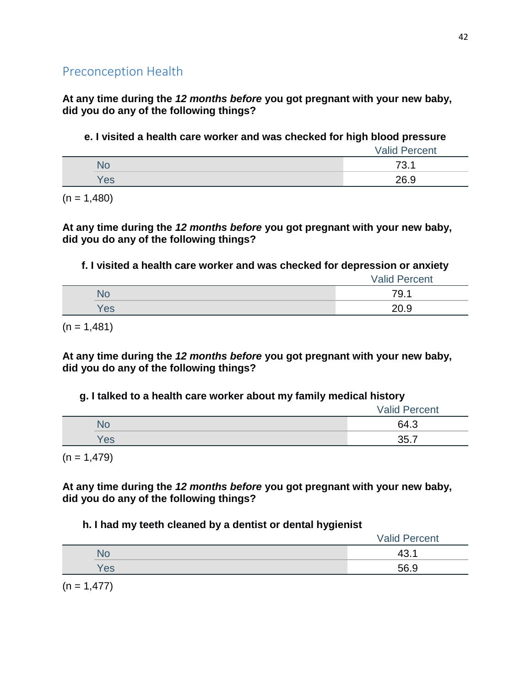**At any time during the** *12 months before* **you got pregnant with your new baby, did you do any of the following things?**

**e. I visited a health care worker and was checked for high blood pressure**

|     | <b>Valid Percent</b> |
|-----|----------------------|
|     | 73.1                 |
| Yes | 26.9                 |

 $(n = 1,480)$ 

**At any time during the** *12 months before* **you got pregnant with your new baby, did you do any of the following things?**

**f. I visited a health care worker and was checked for depression or anxiety**

|     | <b>Valid Percent</b> |
|-----|----------------------|
| NО  | 79.1                 |
| Yes | 20.9                 |

 $(n = 1,481)$ 

**At any time during the** *12 months before* **you got pregnant with your new baby, did you do any of the following things?**

## **g. I talked to a health care worker about my family medical history**

|     | <b>Valid Percent</b> |
|-----|----------------------|
| No  | 64.3                 |
| Yes | 35.7                 |

 $(n = 1,479)$ 

**At any time during the** *12 months before* **you got pregnant with your new baby, did you do any of the following things?**

## **h. I had my teeth cleaned by a dentist or dental hygienist**

|     | <b>Valid Percent</b> |
|-----|----------------------|
|     | $\Delta$ ?           |
| Yes | 56.9                 |

 $(n = 1,477)$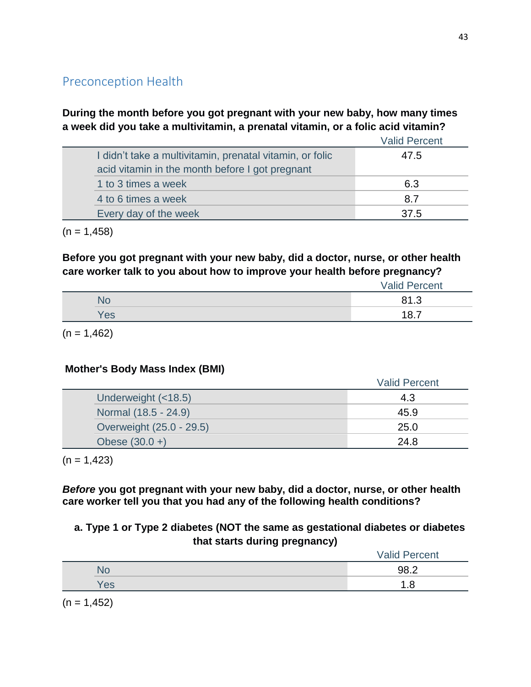## **During the month before you got pregnant with your new baby, how many times a week did you take a multivitamin, a prenatal vitamin, or a folic acid vitamin?**

|                                                                                                             | <b>Valid Percent</b> |
|-------------------------------------------------------------------------------------------------------------|----------------------|
| I didn't take a multivitamin, prenatal vitamin, or folic<br>acid vitamin in the month before I got pregnant | 47.5                 |
| 1 to 3 times a week                                                                                         | 6.3                  |
| 4 to 6 times a week                                                                                         | 8.7                  |
| Every day of the week                                                                                       | 37.5                 |
|                                                                                                             |                      |

 $(n = 1,458)$ 

## **Before you got pregnant with your new baby, did a doctor, nurse, or other health care worker talk to you about how to improve your health before pregnancy?**

|     | <b>Valid Percent</b> |
|-----|----------------------|
|     | 81.3                 |
| Yes | $10 -$               |

 $(n = 1,462)$ 

## **Mother's Body Mass Index (BMI)**

|                          | <b>Valid Percent</b> |
|--------------------------|----------------------|
| Underweight (<18.5)      | 4.3                  |
| Normal (18.5 - 24.9)     | 45.9                 |
| Overweight (25.0 - 29.5) | 25.0                 |
| Obese $(30.0 +)$         | 24.8                 |

 $(n = 1,423)$ 

*Before* **you got pregnant with your new baby, did a doctor, nurse, or other health care worker tell you that you had any of the following health conditions?**

## **a. Type 1 or Type 2 diabetes (NOT the same as gestational diabetes or diabetes that starts during pregnancy)**

|     | <b>Valid Percent</b> |
|-----|----------------------|
| ÑŌ  | 98.2                 |
| Yes | o<br>. . O           |

 $(n = 1,452)$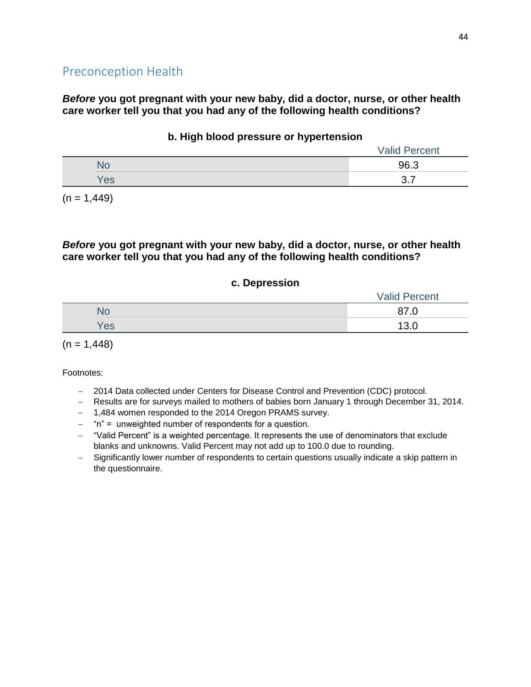*Before* **you got pregnant with your new baby, did a doctor, nurse, or other health care worker tell you that you had any of the following health conditions?**

|  |     | Valid<br>Percent |  |
|--|-----|------------------|--|
|  |     | 96.3             |  |
|  | Yes | າ<br>–           |  |
|  |     |                  |  |

#### **b. High blood pressure or hypertension**

 $(n = 1,449)$ 

#### *Before* **you got pregnant with your new baby, did a doctor, nurse, or other health care worker tell you that you had any of the following health conditions?**

#### **c. Depression**

|  |     | <b>Valid Percent</b> |
|--|-----|----------------------|
|  | No  | 07<br>ں.             |
|  | Yes | 12 O                 |
|  |     |                      |

 $(n = 1,448)$ 

- 2014 Data collected under Centers for Disease Control and Prevention (CDC) protocol.
- Results are for surveys mailed to mothers of babies born January 1 through December 31, 2014.
- 1,484 women responded to the 2014 Oregon PRAMS survey.
- $-$  "n" = unweighted number of respondents for a question.
- "Valid Percent" is a weighted percentage. It represents the use of denominators that exclude blanks and unknowns. Valid Percent may not add up to 100.0 due to rounding.
- Significantly lower number of respondents to certain questions usually indicate a skip pattern in the questionnaire.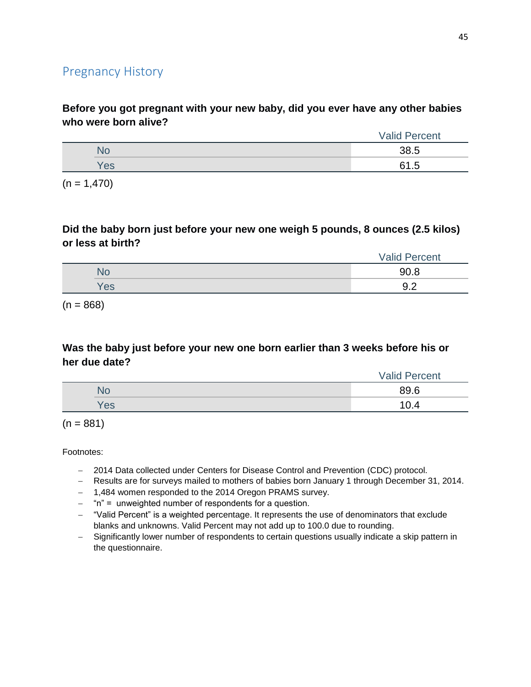## Pregnancy History

**Before you got pregnant with your new baby, did you ever have any other babies who were born alive?**

|     | Percent<br>Valid. |
|-----|-------------------|
| чC  | 38.5              |
| Yes | 61.5              |
|     |                   |

 $(n = 1,470)$ 

#### **Did the baby born just before your new one weigh 5 pounds, 8 ounces (2.5 kilos) or less at birth?**

|     | <b>Valid Percent</b>        |
|-----|-----------------------------|
|     | 90 R                        |
| Yes | ר ח<br>$\cup$ . $\sqsubset$ |

 $(n = 868)$ 

### **Was the baby just before your new one born earlier than 3 weeks before his or her due date?**

|     | <b>Valid Percent</b> |
|-----|----------------------|
| No  | 89.6                 |
| Yes | 10.4                 |

 $(n = 881)$ 

- 2014 Data collected under Centers for Disease Control and Prevention (CDC) protocol.
- Results are for surveys mailed to mothers of babies born January 1 through December 31, 2014.
- 1,484 women responded to the 2014 Oregon PRAMS survey.
- "n" = unweighted number of respondents for a question.
- "Valid Percent" is a weighted percentage. It represents the use of denominators that exclude blanks and unknowns. Valid Percent may not add up to 100.0 due to rounding.
- Significantly lower number of respondents to certain questions usually indicate a skip pattern in the questionnaire.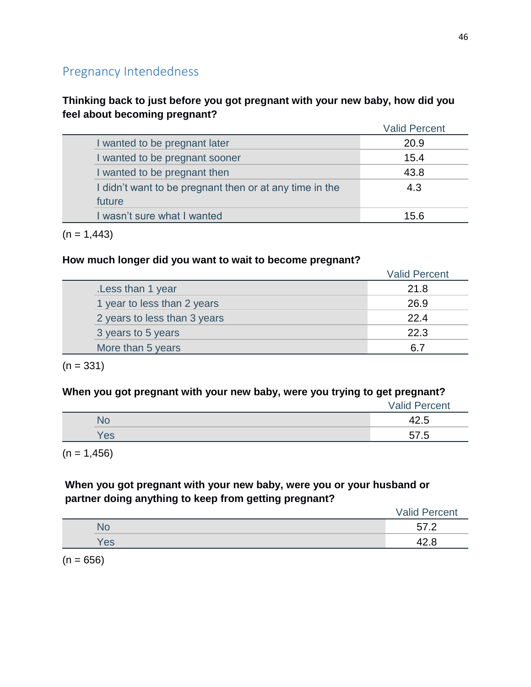# Pregnancy Intendedness

## **Thinking back to just before you got pregnant with your new baby, how did you feel about becoming pregnant?**

|                                                         | <b>Valid Percent</b> |
|---------------------------------------------------------|----------------------|
| I wanted to be pregnant later                           | 20.9                 |
| I wanted to be pregnant sooner                          | 15.4                 |
| I wanted to be pregnant then                            | 43.8                 |
| I didn't want to be pregnant then or at any time in the | 4.3                  |
| future                                                  |                      |
| I wasn't sure what I wanted                             | 15.6                 |

 $(n = 1,443)$ 

#### **How much longer did you want to wait to become pregnant?**

|                              | <b>Valid Percent</b> |
|------------------------------|----------------------|
| Less than 1 year             | 21.8                 |
| 1 year to less than 2 years  | 26.9                 |
| 2 years to less than 3 years | 22.4                 |
| 3 years to 5 years           | 22.3                 |
| More than 5 years            | 67                   |

 $(n = 331)$ 

### **When you got pregnant with your new baby, were you trying to get pregnant?**

|     | <b>Valid Percent</b> |
|-----|----------------------|
|     |                      |
| Yes | 57 5                 |

 $(n = 1,456)$ 

## **When you got pregnant with your new baby, were you or your husband or partner doing anything to keep from getting pregnant?**

|     | <b>Valid Percent</b>                         |
|-----|----------------------------------------------|
| NO  | F7<br>$\sqrt{2}$<br>$\overline{\phantom{a}}$ |
| Yes | O                                            |

 $(n = 656)$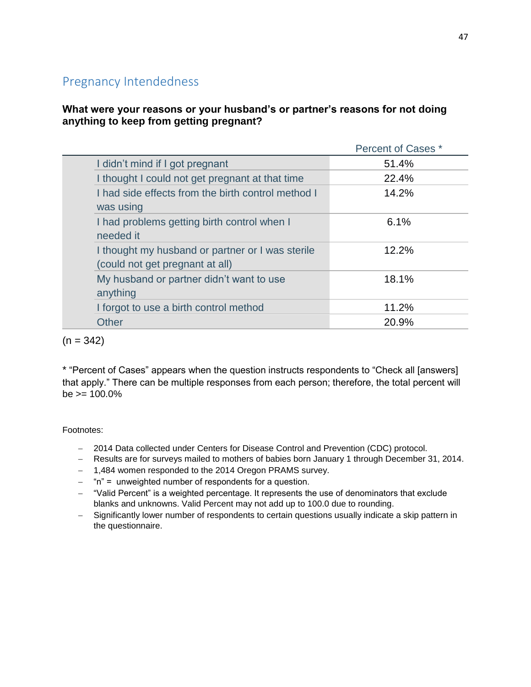# Pregnancy Intendedness

### **What were your reasons or your husband's or partner's reasons for not doing anything to keep from getting pregnant?**

|                                                                                     | Percent of Cases * |
|-------------------------------------------------------------------------------------|--------------------|
| I didn't mind if I got pregnant                                                     | 51.4%              |
| I thought I could not get pregnant at that time                                     | 22.4%              |
| I had side effects from the birth control method I<br>was using                     | 14.2%              |
| I had problems getting birth control when I<br>needed it                            | 6.1%               |
| I thought my husband or partner or I was sterile<br>(could not get pregnant at all) | 12.2%              |
| My husband or partner didn't want to use<br>anything                                | 18.1%              |
| I forgot to use a birth control method                                              | 11.2%              |
| <b>Other</b>                                                                        | 20.9%              |

 $(n = 342)$ 

\* "Percent of Cases" appears when the question instructs respondents to "Check all [answers] that apply." There can be multiple responses from each person; therefore, the total percent will  $be = 100.0\%$ 

- 2014 Data collected under Centers for Disease Control and Prevention (CDC) protocol.
- Results are for surveys mailed to mothers of babies born January 1 through December 31, 2014.
- 1,484 women responded to the 2014 Oregon PRAMS survey.
- $-$  "n" = unweighted number of respondents for a question.
- "Valid Percent" is a weighted percentage. It represents the use of denominators that exclude blanks and unknowns. Valid Percent may not add up to 100.0 due to rounding.
- Significantly lower number of respondents to certain questions usually indicate a skip pattern in the questionnaire.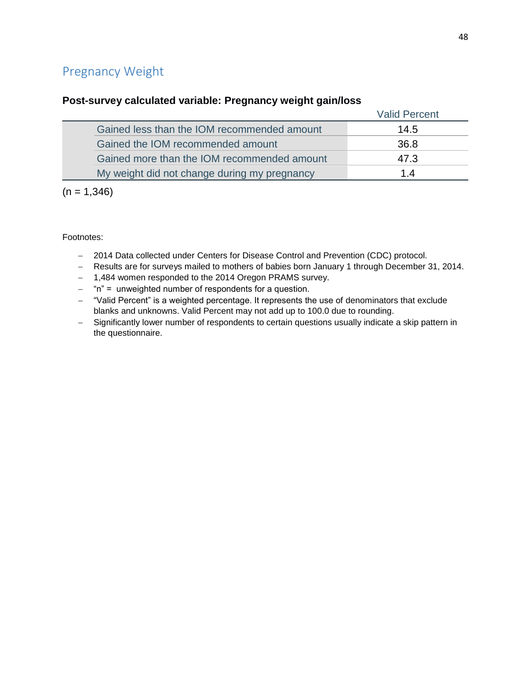# Pregnancy Weight

#### **Post-survey calculated variable: Pregnancy weight gain/loss**

|                                              | <b>Valid Percent</b> |
|----------------------------------------------|----------------------|
| Gained less than the IOM recommended amount  | 14.5                 |
| Gained the IOM recommended amount            | 36.8                 |
| Gained more than the IOM recommended amount  | 47.3                 |
| My weight did not change during my pregnancy | 14                   |

 $(n = 1,346)$ 

- 2014 Data collected under Centers for Disease Control and Prevention (CDC) protocol.
- Results are for surveys mailed to mothers of babies born January 1 through December 31, 2014.
- 1,484 women responded to the 2014 Oregon PRAMS survey.
- $-$  "n" = unweighted number of respondents for a question.
- "Valid Percent" is a weighted percentage. It represents the use of denominators that exclude blanks and unknowns. Valid Percent may not add up to 100.0 due to rounding.
- Significantly lower number of respondents to certain questions usually indicate a skip pattern in the questionnaire.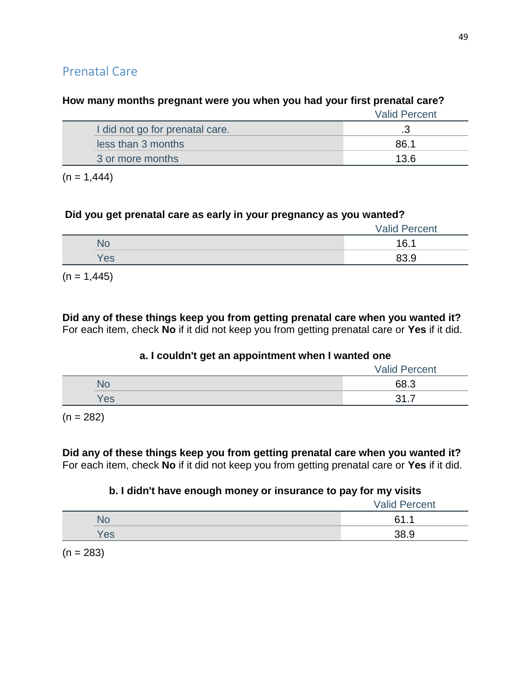# Valid Percent I did not go for prenatal care. **3** and  $\overline{3}$ less than 3 months **86.1** 3 or more months 13.6

### **How many months pregnant were you when you had your first prenatal care?**

 $(n = 1,444)$ 

#### **Did you get prenatal care as early in your pregnancy as you wanted?**

|     | <b>Valid Percent</b> |
|-----|----------------------|
| NO  | 16.1                 |
| Yes | 83.9                 |

 $(n = 1,445)$ 

**Did any of these things keep you from getting prenatal care when you wanted it?** For each item, check **No** if it did not keep you from getting prenatal care or **Yes** if it did.

#### **a. I couldn't get an appointment when I wanted one**

|     | <b>Valid Percent</b> |
|-----|----------------------|
| NС  | 68.3                 |
| Yes | ़ २1<br>—<br>ັ       |
|     |                      |

 $(n = 282)$ 

#### **Did any of these things keep you from getting prenatal care when you wanted it?** For each item, check **No** if it did not keep you from getting prenatal care or **Yes** if it did.

## **b. I didn't have enough money or insurance to pay for my visits**

|     | <b>Valid Percent</b> |
|-----|----------------------|
|     | 61.1                 |
| Yes | 38.9                 |

 $(n = 283)$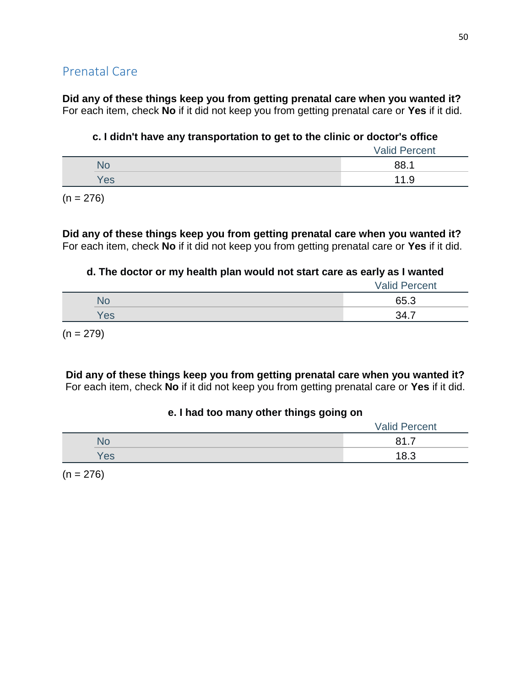**Did any of these things keep you from getting prenatal care when you wanted it?** For each item, check **No** if it did not keep you from getting prenatal care or **Yes** if it did.

### **c. I didn't have any transportation to get to the clinic or doctor's office**

| 88.1<br>NC |     | <b>Valid Percent</b> |
|------------|-----|----------------------|
|            |     |                      |
|            | Yes | 11.9                 |

 $(n = 276)$ 

**Did any of these things keep you from getting prenatal care when you wanted it?** For each item, check **No** if it did not keep you from getting prenatal care or **Yes** if it did.

#### **d. The doctor or my health plan would not start care as early as I wanted**

|     | <b>Valid Percent</b> |
|-----|----------------------|
|     | 65.3                 |
| es/ | 34.                  |

 $(n = 279)$ 

**Did any of these things keep you from getting prenatal care when you wanted it?** For each item, check **No** if it did not keep you from getting prenatal care or **Yes** if it did.

#### **e. I had too many other things going on**

|     | <b>Valid Percent</b>    |
|-----|-------------------------|
| N٥  | O 4<br>—<br><b>JI.I</b> |
| Yes | 18.3                    |

 $(n = 276)$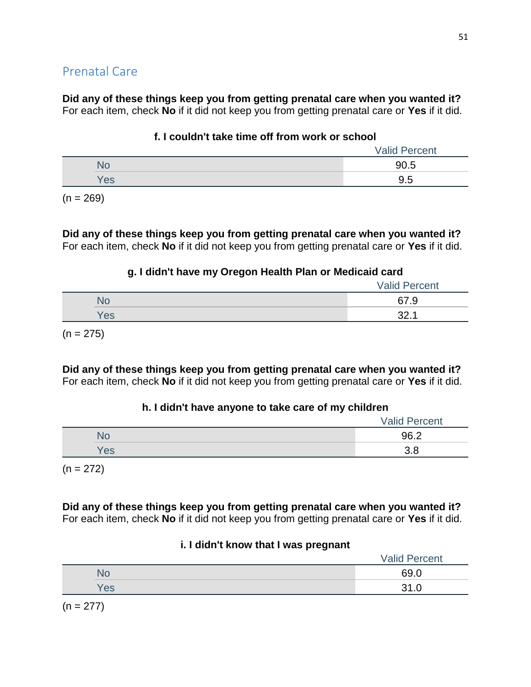**Did any of these things keep you from getting prenatal care when you wanted it?** For each item, check **No** if it did not keep you from getting prenatal care or **Yes** if it did.

### **f. I couldn't take time off from work or school**

|     | <b>Valid Percent</b> |  |
|-----|----------------------|--|
|     | 90.5                 |  |
| Yes | 9.5                  |  |
|     |                      |  |

 $(n = 269)$ 

**Did any of these things keep you from getting prenatal care when you wanted it?** For each item, check **No** if it did not keep you from getting prenatal care or **Yes** if it did.

## **g. I didn't have my Oregon Health Plan or Medicaid card**

|     | <b>Valid Percent</b>    |
|-----|-------------------------|
| NO  | 67.9                    |
| Yes | 32 <sub>1</sub><br>. ےں |

 $(n = 275)$ 

**Did any of these things keep you from getting prenatal care when you wanted it?** For each item, check **No** if it did not keep you from getting prenatal care or **Yes** if it did.

## **h. I didn't have anyone to take care of my children**

|     | <b>Valid Percent</b> |  |
|-----|----------------------|--|
|     | 96.2                 |  |
| Yes | v.u                  |  |
|     |                      |  |

 $(n = 272)$ 

**Did any of these things keep you from getting prenatal care when you wanted it?** For each item, check **No** if it did not keep you from getting prenatal care or **Yes** if it did.

#### **i. I didn't know that I was pregnant**

|     | <b>Valid Percent</b> |
|-----|----------------------|
|     | 69.0                 |
| Yes | າາ ດ                 |

 $(n = 277)$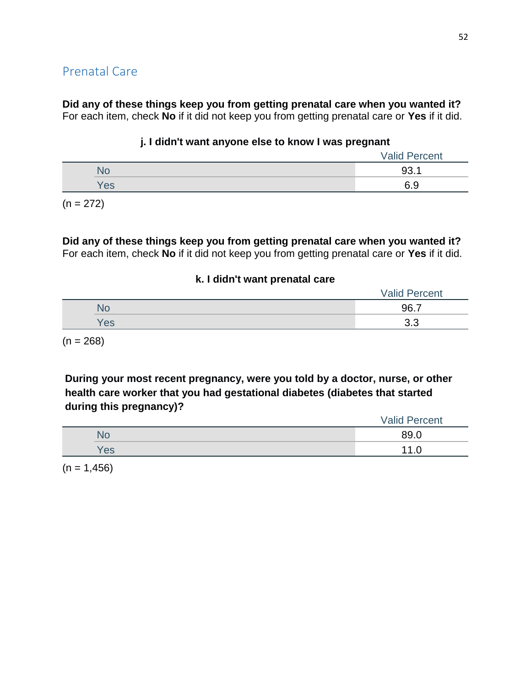**Did any of these things keep you from getting prenatal care when you wanted it?** For each item, check **No** if it did not keep you from getting prenatal care or **Yes** if it did.

#### **j. I didn't want anyone else to know I was pregnant**

|        | <b>Valid Percent</b> |
|--------|----------------------|
|        | . .                  |
| $'e$ s | c o<br>ง.ง           |

 $(n = 272)$ 

**Did any of these things keep you from getting prenatal care when you wanted it?** For each item, check **No** if it did not keep you from getting prenatal care or **Yes** if it did.

#### **k. I didn't want prenatal care**

|     | 96.7          |
|-----|---------------|
| Yes | $\sim$<br>o.u |

 $(n = 268)$ 

**During your most recent pregnancy, were you told by a doctor, nurse, or other health care worker that you had gestational diabetes (diabetes that started during this pregnancy)?**

|     | <b>Valid Percent</b> |
|-----|----------------------|
| N٥  | 89.0                 |
| Yes |                      |

 $(n = 1,456)$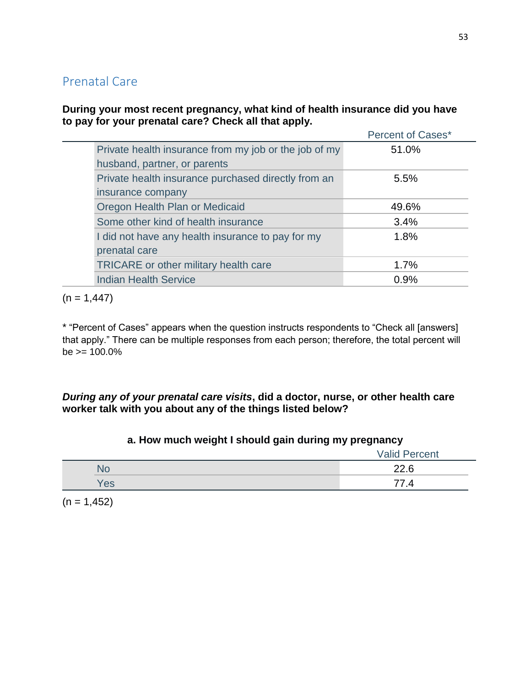#### **During your most recent pregnancy, what kind of health insurance did you have to pay for your prenatal care? Check all that apply.**

|                                                       | Percent of Cases* |
|-------------------------------------------------------|-------------------|
| Private health insurance from my job or the job of my | 51.0%             |
| husband, partner, or parents                          |                   |
| Private health insurance purchased directly from an   | 5.5%              |
| insurance company                                     |                   |
| Oregon Health Plan or Medicaid                        | 49.6%             |
| Some other kind of health insurance                   | 3.4%              |
| I did not have any health insurance to pay for my     | 1.8%              |
| prenatal care                                         |                   |
| <b>TRICARE</b> or other military health care          | 1.7%              |
| <b>Indian Health Service</b>                          | 0.9%              |

 $(n = 1,447)$ 

\* "Percent of Cases" appears when the question instructs respondents to "Check all [answers] that apply." There can be multiple responses from each person; therefore, the total percent will  $be \ge 100.0\%$ 

### *During any of your prenatal care visits***, did a doctor, nurse, or other health care worker talk with you about any of the things listed below?**

## **a. How much weight I should gain during my pregnancy**

|     | Valid<br>Percent |
|-----|------------------|
| ЧU  | 22.6             |
| Yes | 4                |

 $(n = 1,452)$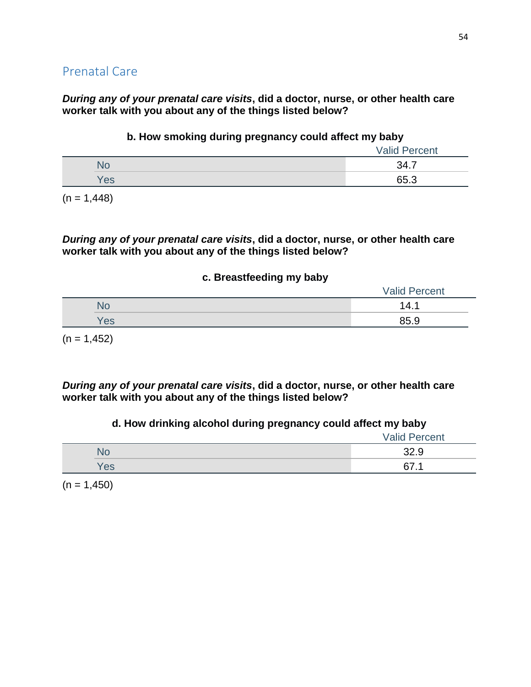*During any of your prenatal care visits***, did a doctor, nurse, or other health care worker talk with you about any of the things listed below?**

#### **b. How smoking during pregnancy could affect my baby**

|     | <b>Valid Percent</b> |
|-----|----------------------|
|     | 34.7                 |
| Yes | 65.3                 |

 $(n = 1,448)$ 

*During any of your prenatal care visits***, did a doctor, nurse, or other health care worker talk with you about any of the things listed below?**

#### **c. Breastfeeding my baby**

|     | <b>Valid Percent</b> |
|-----|----------------------|
| ١U  | 14.                  |
| Yes | 85.9                 |

 $(n = 1,452)$ 

*During any of your prenatal care visits***, did a doctor, nurse, or other health care worker talk with you about any of the things listed below?**

#### **d. How drinking alcohol during pregnancy could affect my baby**

|            | <b>Valid Percent</b> |
|------------|----------------------|
| No         | 32.9                 |
| <b>Yes</b> | 67. .                |

 $(n = 1,450)$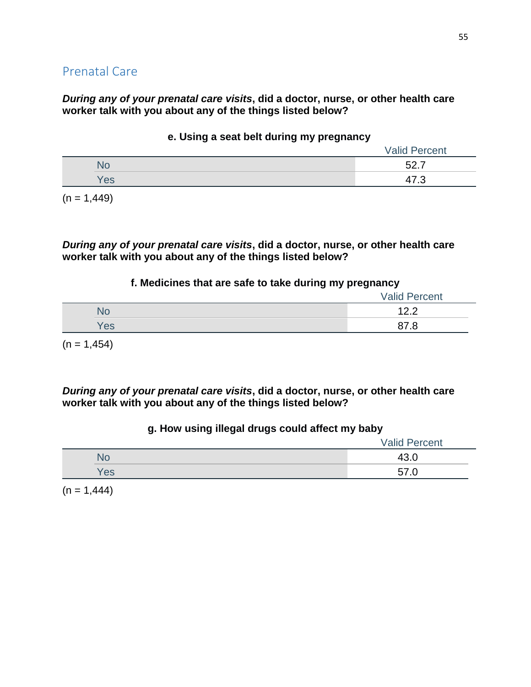*During any of your prenatal care visits***, did a doctor, nurse, or other health care worker talk with you about any of the things listed below?**

|     | <b>Valid Percent</b> |
|-----|----------------------|
| No  | ドク                   |
| Yes |                      |
|     |                      |

#### **e. Using a seat belt during my pregnancy**

 $(n = 1,449)$ 

*During any of your prenatal care visits***, did a doctor, nurse, or other health care worker talk with you about any of the things listed below?**

#### **f. Medicines that are safe to take during my pregnancy**

|     | <b>Valid Percent</b> |
|-----|----------------------|
| NС  | 100                  |
| Yes | 07<br>o r<br>. .     |

 $(n = 1,454)$ 

*During any of your prenatal care visits***, did a doctor, nurse, or other health care worker talk with you about any of the things listed below?**

#### **g. How using illegal drugs could affect my baby**

|     | <b>Valid Percent</b> |
|-----|----------------------|
| NU  |                      |
| 'es | 57                   |

 $(n = 1,444)$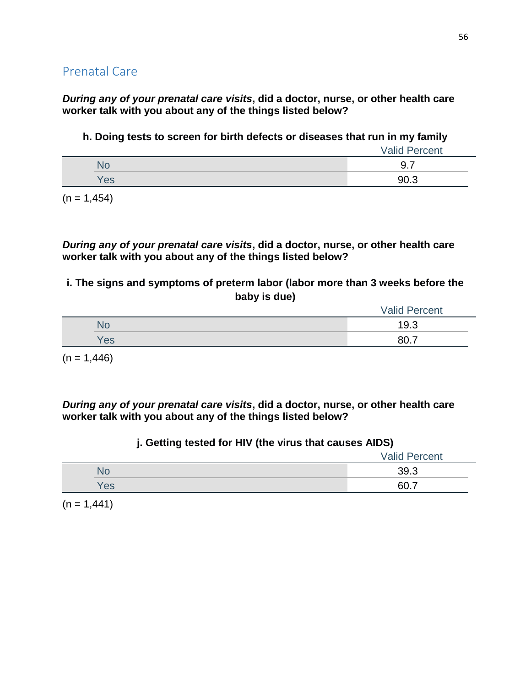*During any of your prenatal care visits***, did a doctor, nurse, or other health care worker talk with you about any of the things listed below?**

**h. Doing tests to screen for birth defects or diseases that run in my family**

|     | <b>Valid Percent</b> |
|-----|----------------------|
|     | 9.7                  |
| Yes | 90.3                 |

 $(n = 1,454)$ 

*During any of your prenatal care visits***, did a doctor, nurse, or other health care worker talk with you about any of the things listed below?**

**i. The signs and symptoms of preterm labor (labor more than 3 weeks before the baby is due)**

|     | <b>Valid Percent</b> |
|-----|----------------------|
| No  | 19.3                 |
| Yes | 80.7                 |

 $(n = 1,446)$ 

*During any of your prenatal care visits***, did a doctor, nurse, or other health care worker talk with you about any of the things listed below?**

#### **j. Getting tested for HIV (the virus that causes AIDS)**

|           | <b>Valid Percent</b> |
|-----------|----------------------|
| <b>NG</b> | 39.3                 |
| Yes       | 60.7                 |

 $(n = 1,441)$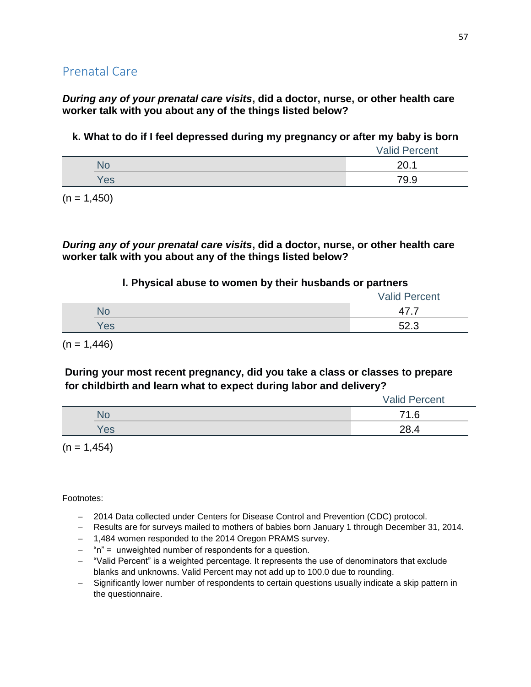*During any of your prenatal care visits***, did a doctor, nurse, or other health care worker talk with you about any of the things listed below?**

**k. What to do if I feel depressed during my pregnancy or after my baby is born**

|     | <b>Valid Percent</b> |
|-----|----------------------|
| NО  | 20.1                 |
| Yes | 79.9                 |

 $(n = 1,450)$ 

*During any of your prenatal care visits***, did a doctor, nurse, or other health care worker talk with you about any of the things listed below?**

#### **l. Physical abuse to women by their husbands or partners**

|     | <b>Valid Percent</b> |
|-----|----------------------|
|     | 4<br>┱               |
| Yes | よつ つ                 |

 $(n = 1,446)$ 

**During your most recent pregnancy, did you take a class or classes to prepare for childbirth and learn what to expect during labor and delivery?**

|     | <b>Valid Percent</b> |
|-----|----------------------|
| NO  | 71.6                 |
| Yes | 28.4                 |

 $(n = 1, 454)$ 

- 2014 Data collected under Centers for Disease Control and Prevention (CDC) protocol.
- Results are for surveys mailed to mothers of babies born January 1 through December 31, 2014.
- 1,484 women responded to the 2014 Oregon PRAMS survey.
- $-$  "n" = unweighted number of respondents for a question.
- "Valid Percent" is a weighted percentage. It represents the use of denominators that exclude blanks and unknowns. Valid Percent may not add up to 100.0 due to rounding.
- Significantly lower number of respondents to certain questions usually indicate a skip pattern in the questionnaire.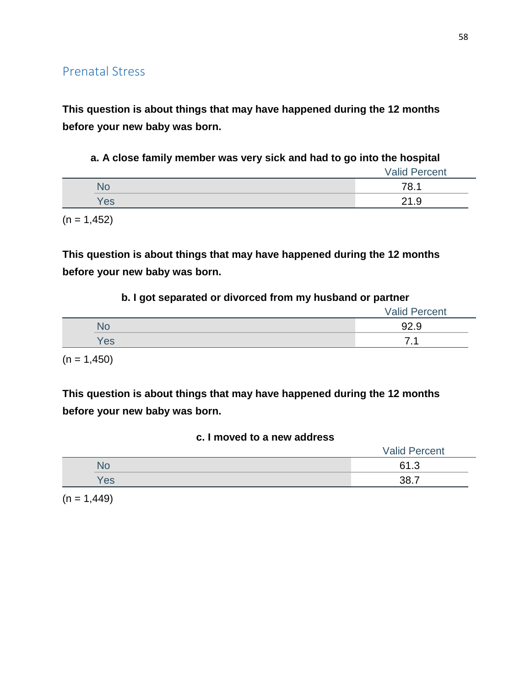**This question is about things that may have happened during the 12 months before your new baby was born.**

**a. A close family member was very sick and had to go into the hospital**

|     | <b>Valid Percent</b> |
|-----|----------------------|
| ٩O  | 78.1                 |
| Yes | 21.9                 |

 $(n = 1,452)$ 

**This question is about things that may have happened during the 12 months before your new baby was born.**

#### **b. I got separated or divorced from my husband or partner**

|           | <b>Valid Percent</b> |
|-----------|----------------------|
| <b>No</b> | 92.9                 |
| Yes       | –                    |

 $(n = 1,450)$ 

**This question is about things that may have happened during the 12 months before your new baby was born.**

#### **c. I moved to a new address**

|            | <b>Valid Percent</b> |
|------------|----------------------|
| UP.        | 61.3<br>. . ٻ        |
| <b>Ves</b> | <b>22</b><br>-       |

 $(n = 1,449)$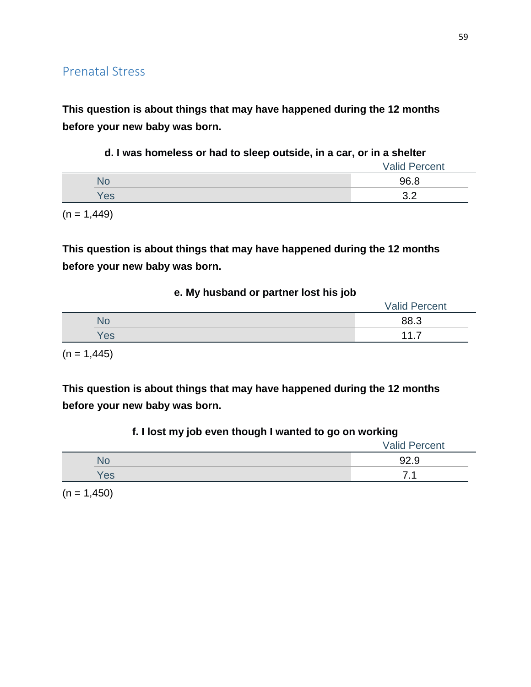**This question is about things that may have happened during the 12 months before your new baby was born.**

### **d. I was homeless or had to sleep outside, in a car, or in a shelter**

|     | <b>Valid Percent</b> |
|-----|----------------------|
|     | 96.8                 |
| Yes | <u>ດ ດ</u><br>v.L    |

 $(n = 1,449)$ 

**This question is about things that may have happened during the 12 months before your new baby was born.**

| e. My husband or partner lost his job |  |  |  |  |  |
|---------------------------------------|--|--|--|--|--|
|---------------------------------------|--|--|--|--|--|

|     | <b>Valid Percent</b> |
|-----|----------------------|
|     | 88.3                 |
| Yes | 11                   |
|     |                      |

 $(n = 1,445)$ 

**This question is about things that may have happened during the 12 months before your new baby was born.**

| ___<br>$\overline{\phantom{0}}$ | $\overline{\phantom{0}}$<br>$\overline{\phantom{0}}$<br><b>Valid Percent</b> |
|---------------------------------|------------------------------------------------------------------------------|
|                                 | റാ വ<br>ອ∠.ອ                                                                 |
| Yes                             | $\overline{ }$ $\overline{ }$                                                |

 $(n = 1,450)$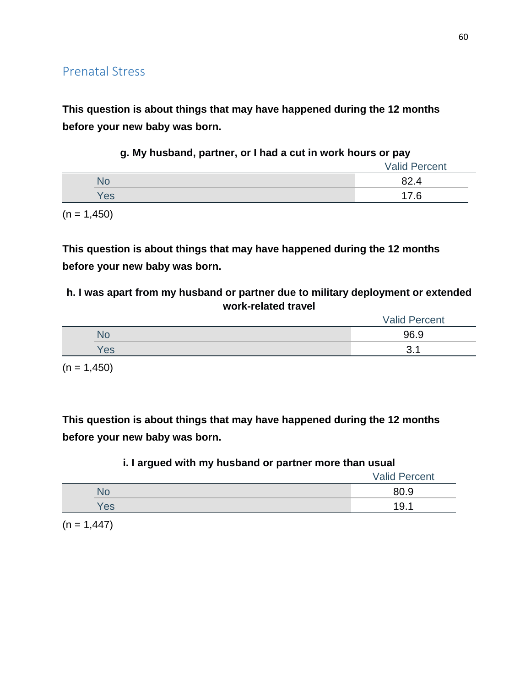**This question is about things that may have happened during the 12 months before your new baby was born.**

|  | g. My husband, partner, or I had a cut in work hours or pay |  |  |  |  |  |
|--|-------------------------------------------------------------|--|--|--|--|--|
|--|-------------------------------------------------------------|--|--|--|--|--|

|     | <b>Valid Percent</b> |
|-----|----------------------|
|     | ററ                   |
| Yes | C                    |

 $(n = 1,450)$ 

**This question is about things that may have happened during the 12 months before your new baby was born.**

**h. I was apart from my husband or partner due to military deployment or extended work-related travel**

|     | <b>Valid Percent</b> |  |
|-----|----------------------|--|
| NC. | 96.9                 |  |
| Yes | ⌒<br>ັ               |  |

 $(n = 1,450)$ 

**This question is about things that may have happened during the 12 months before your new baby was born.**

#### **i. I argued with my husband or partner more than usual**

|     | <b>Valid Percent</b> |
|-----|----------------------|
| N٥  | 80.9                 |
| Yes | 19.1                 |

 $(n = 1,447)$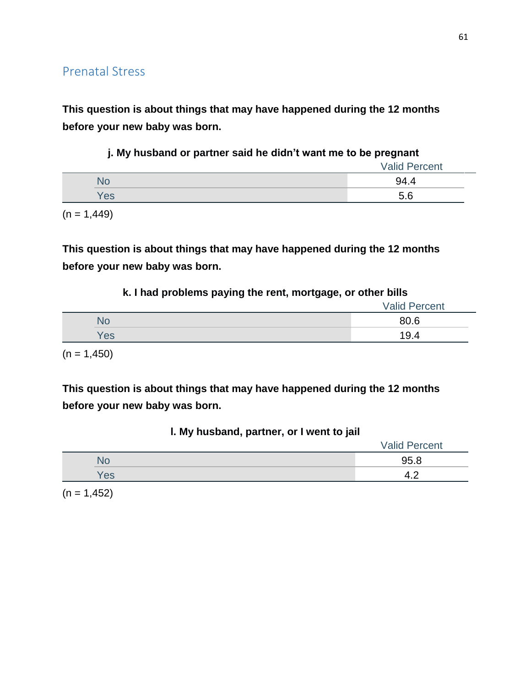**This question is about things that may have happened during the 12 months before your new baby was born.**

|     | <b>Valid Percent</b> |
|-----|----------------------|
| NG. | 94.4                 |
| Yes | 5.6                  |

 $(n = 1,449)$ 

**This question is about things that may have happened during the 12 months before your new baby was born.**

### **k. I had problems paying the rent, mortgage, or other bills**

|     | <b>Valid Percent</b> |
|-----|----------------------|
| No  | 80.6                 |
| Yes | 19.4                 |
|     |                      |

 $(n = 1,450)$ 

**This question is about things that may have happened during the 12 months before your new baby was born.**

| I. My husband, partner, or I went to jail |  |  |  |
|-------------------------------------------|--|--|--|
|-------------------------------------------|--|--|--|

|     | <b>Valid Percent</b> |
|-----|----------------------|
| NU. | 95.8                 |
| Yes |                      |

 $(n = 1, 452)$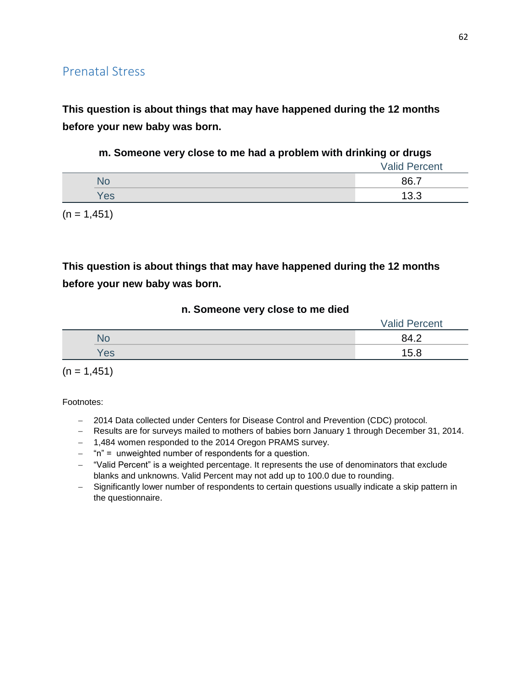**This question is about things that may have happened during the 12 months before your new baby was born.**

#### **m. Someone very close to me had a problem with drinking or drugs**

|     | <b>Valid Percent</b> |
|-----|----------------------|
| No  | 86.7                 |
| Yes | 13.3                 |

 $(n = 1, 451)$ 

# **This question is about things that may have happened during the 12 months before your new baby was born.**

#### **n. Someone very close to me died**

|           | <b>Valid Percent</b> |
|-----------|----------------------|
| <b>No</b> | 84.2                 |
| Yes       | 15.8                 |

 $(n = 1,451)$ 

- 2014 Data collected under Centers for Disease Control and Prevention (CDC) protocol.
- Results are for surveys mailed to mothers of babies born January 1 through December 31, 2014.
- 1,484 women responded to the 2014 Oregon PRAMS survey.
- "n" = unweighted number of respondents for a question.
- "Valid Percent" is a weighted percentage. It represents the use of denominators that exclude blanks and unknowns. Valid Percent may not add up to 100.0 due to rounding.
- Significantly lower number of respondents to certain questions usually indicate a skip pattern in the questionnaire.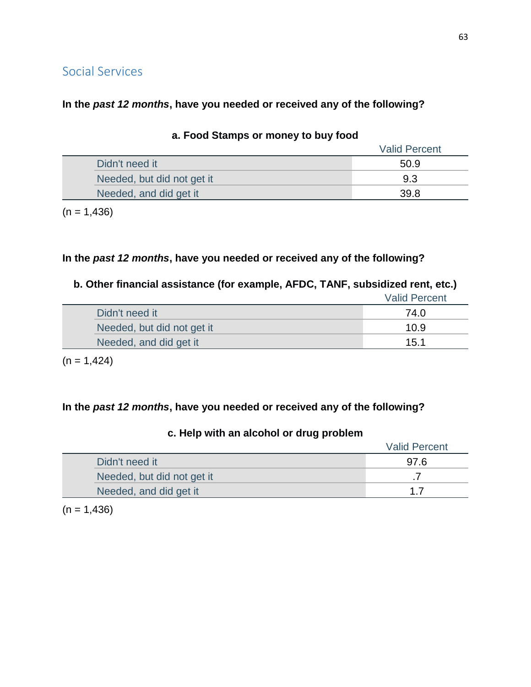# Social Services

### **In the** *past 12 months***, have you needed or received any of the following?**

|                            | <b>Valid Percent</b> |
|----------------------------|----------------------|
| Didn't need it             | 50.9                 |
| Needed, but did not get it | 9.3                  |
| Needed, and did get it     | 39.8                 |

#### **a. Food Stamps or money to buy food**

 $(n = 1,436)$ 

## **In the** *past 12 months***, have you needed or received any of the following?**

## **b. Other financial assistance (for example, AFDC, TANF, subsidized rent, etc.)**

|                            | <b>Valid Percent</b> |
|----------------------------|----------------------|
| Didn't need it             | 74.0                 |
| Needed, but did not get it | 10.9                 |
| Needed, and did get it     | 15.1                 |

 $(n = 1,424)$ 

## **In the** *past 12 months***, have you needed or received any of the following?**

# Valid Percent Didn't need it 97.6 Needed, but did not get it .7 and  $\overline{7}$ Needed, and did get it 1.7

### **c. Help with an alcohol or drug problem**

 $(n = 1,436)$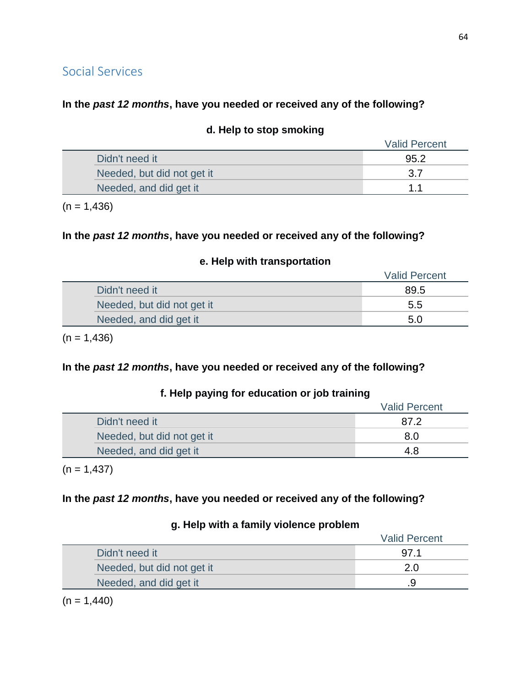## Social Services

## **In the** *past 12 months***, have you needed or received any of the following?**

|                            | <b>Valid Percent</b> |
|----------------------------|----------------------|
| Didn't need it             | 95.2                 |
| Needed, but did not get it | 3.7                  |
| Needed, and did get it     | 11                   |

#### **d. Help to stop smoking**

 $(n = 1,436)$ 

### **In the** *past 12 months***, have you needed or received any of the following?**

#### **e. Help with transportation**

|                            | <b>Valid Percent</b> |
|----------------------------|----------------------|
| Didn't need it             | 89.5                 |
| Needed, but did not get it | 5.5                  |
| Needed, and did get it     | 5.0                  |

 $(n = 1,436)$ 

## **In the** *past 12 months***, have you needed or received any of the following?**

## **f. Help paying for education or job training**

|                            | <b>Valid Percent</b> |
|----------------------------|----------------------|
| Didn't need it             | 87.2                 |
| Needed, but did not get it | 8.0                  |
| Needed, and did get it     | 4.8                  |

 $(n = 1,437)$ 

## **In the** *past 12 months***, have you needed or received any of the following?**

#### **g. Help with a family violence problem**

|                            | <b>Valid Percent</b> |
|----------------------------|----------------------|
| Didn't need it             | 97.1                 |
| Needed, but did not get it | 2.0                  |
| Needed, and did get it     |                      |

 $(n = 1,440)$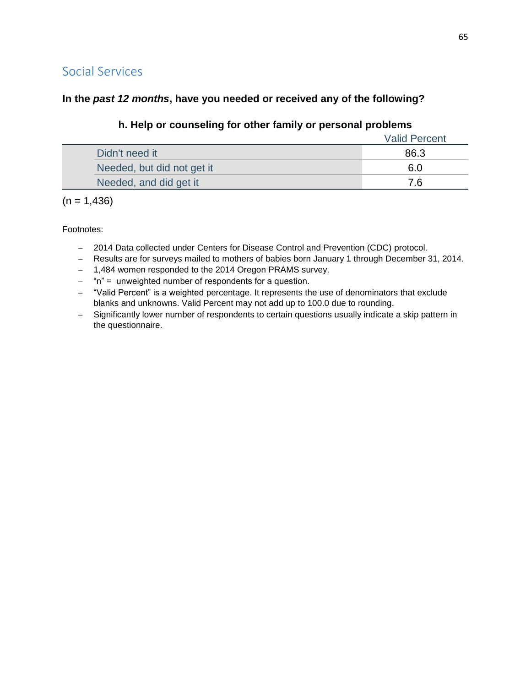## Social Services

## **In the** *past 12 months***, have you needed or received any of the following?**

## **h. Help or counseling for other family or personal problems**

|                            | <b>Valid Percent</b> |
|----------------------------|----------------------|
| Didn't need it             | 86.3                 |
| Needed, but did not get it | 6.0                  |
| Needed, and did get it     |                      |

 $(n = 1,436)$ 

- 2014 Data collected under Centers for Disease Control and Prevention (CDC) protocol.
- Results are for surveys mailed to mothers of babies born January 1 through December 31, 2014.
- 1,484 women responded to the 2014 Oregon PRAMS survey.
- "n" = unweighted number of respondents for a question.
- "Valid Percent" is a weighted percentage. It represents the use of denominators that exclude blanks and unknowns. Valid Percent may not add up to 100.0 due to rounding.
- Significantly lower number of respondents to certain questions usually indicate a skip pattern in the questionnaire.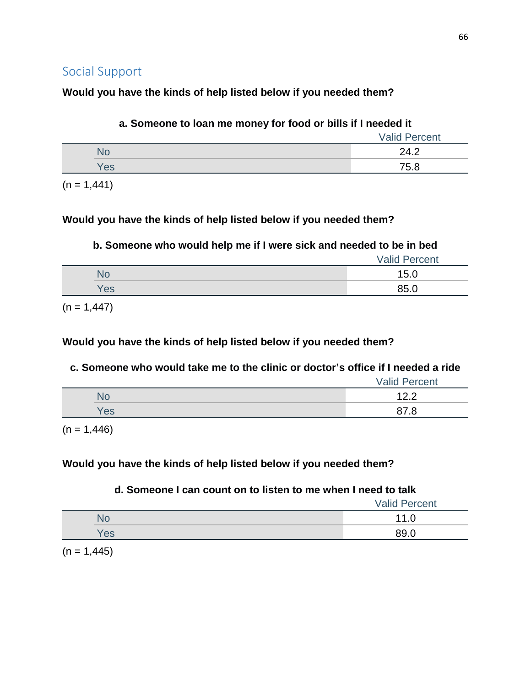## **Would you have the kinds of help listed below if you needed them?**

| a. Someone to loan me money for food or bills if I needed it |                      |
|--------------------------------------------------------------|----------------------|
|                                                              | <b>Valid Percent</b> |
| No                                                           | 24.2                 |
| Yes                                                          | 75.8                 |

 $(n = 1,441)$ 

## **Would you have the kinds of help listed below if you needed them?**

## **b. Someone who would help me if I were sick and needed to be in bed**

|     | <b>Valid Percent</b> |
|-----|----------------------|
|     | 15.0                 |
| Yes | 85.0                 |

 $(n = 1,447)$ 

## **Would you have the kinds of help listed below if you needed them?**

## **c. Someone who would take me to the clinic or doctor's office if I needed a ride**

|     | <b>Valid Percent</b> |
|-----|----------------------|
| NC  | . <u>.</u>           |
| Yes |                      |

 $(n = 1,446)$ 

## **Would you have the kinds of help listed below if you needed them?**

## **d. Someone I can count on to listen to me when I need to talk**

|    | <b>Valid Percent</b> |
|----|----------------------|
| NU | 11<br>1.U            |
| es | 89.C                 |

 $(n = 1,445)$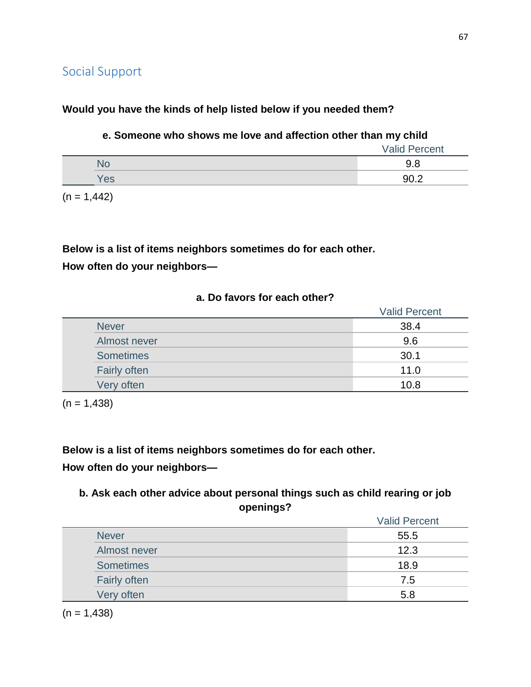### **Would you have the kinds of help listed below if you needed them?**

### **e. Someone who shows me love and affection other than my child**

|     | <b>Valid Percent</b> |
|-----|----------------------|
|     | 9.8                  |
| Yes | ר חם                 |

 $(n = 1,442)$ 

**Below is a list of items neighbors sometimes do for each other. How often do your neighbors—**

## **a. Do favors for each other?**

|                     | <b>Valid Percent</b> |
|---------------------|----------------------|
| <b>Never</b>        | 38.4                 |
| Almost never        | 9.6                  |
| <b>Sometimes</b>    | 30.1                 |
| <b>Fairly often</b> | 11.0                 |
| Very often          | 10.8                 |

 $(n = 1,438)$ 

**Below is a list of items neighbors sometimes do for each other. How often do your neighbors—**

## **b. Ask each other advice about personal things such as child rearing or job openings?**

|                     | <b>Valid Percent</b> |
|---------------------|----------------------|
| <b>Never</b>        | 55.5                 |
| Almost never        | 12.3                 |
| <b>Sometimes</b>    | 18.9                 |
| <b>Fairly often</b> | 7.5                  |
| Very often          | 5.8                  |

 $(n = 1,438)$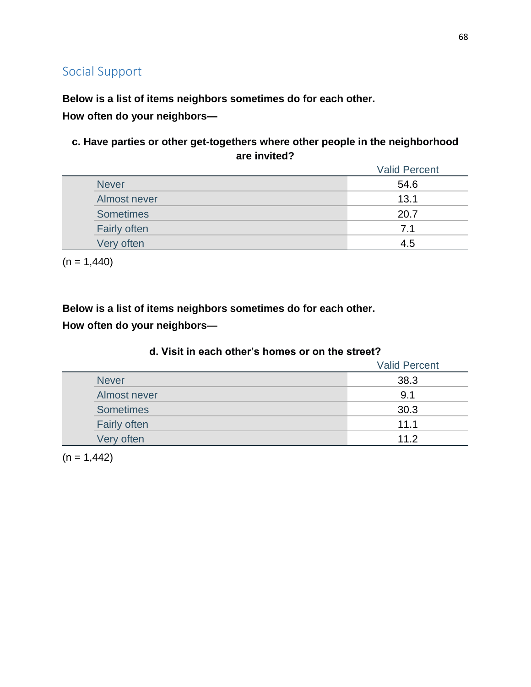**Below is a list of items neighbors sometimes do for each other.**

**How often do your neighbors—**

**c. Have parties or other get-togethers where other people in the neighborhood are invited?**

|                     | <b>Valid Percent</b> |
|---------------------|----------------------|
| <b>Never</b>        | 54.6                 |
| Almost never        | 13.1                 |
| <b>Sometimes</b>    | 20.7                 |
| <b>Fairly often</b> | 7.1                  |
| Very often          | 4.5                  |

 $(n = 1,440)$ 

**Below is a list of items neighbors sometimes do for each other.**

**How often do your neighbors—**

|                     | <b>Valid Percent</b> |
|---------------------|----------------------|
| <b>Never</b>        | 38.3                 |
| Almost never        | 9.1                  |
| <b>Sometimes</b>    | 30.3                 |
| <b>Fairly often</b> | 11.1                 |
| Very often          | 11.2                 |

### **d. Visit in each other's homes or on the street?**

 $(n = 1,442)$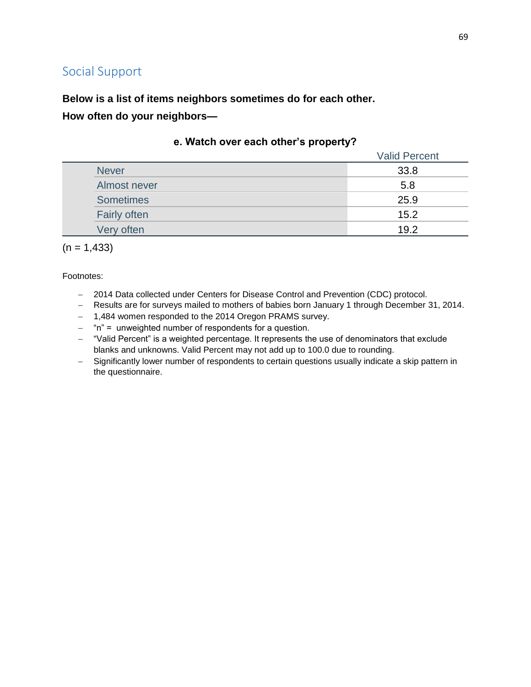**Below is a list of items neighbors sometimes do for each other.**

**How often do your neighbors—**

|                     | <b>Valid Percent</b> |
|---------------------|----------------------|
| <b>Never</b>        | 33.8                 |
| Almost never        | 5.8                  |
| <b>Sometimes</b>    | 25.9                 |
| <b>Fairly often</b> | 15.2                 |
| Very often          | 19.2                 |

#### **e. Watch over each other's property?**

 $(n = 1,433)$ 

- 2014 Data collected under Centers for Disease Control and Prevention (CDC) protocol.
- Results are for surveys mailed to mothers of babies born January 1 through December 31, 2014.
- 1,484 women responded to the 2014 Oregon PRAMS survey.
- $-$  "n" = unweighted number of respondents for a question.
- "Valid Percent" is a weighted percentage. It represents the use of denominators that exclude blanks and unknowns. Valid Percent may not add up to 100.0 due to rounding.
- Significantly lower number of respondents to certain questions usually indicate a skip pattern in the questionnaire.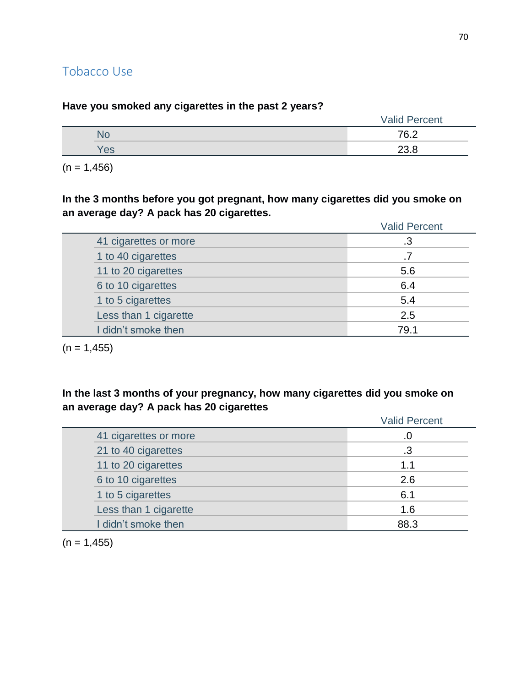## Tobacco Use

|     |  | <b>Valid Percent</b> |
|-----|--|----------------------|
| NC  |  | 76.2                 |
| Yes |  | 23.8                 |

**Have you smoked any cigarettes in the past 2 years?**

 $(n = 1,456)$ 

**In the 3 months before you got pregnant, how many cigarettes did you smoke on an average day? A pack has 20 cigarettes.**

|                       | <b>Valid Percent</b> |
|-----------------------|----------------------|
| 41 cigarettes or more | .3                   |
| 1 to 40 cigarettes    |                      |
| 11 to 20 cigarettes   | 5.6                  |
| 6 to 10 cigarettes    | 6.4                  |
| 1 to 5 cigarettes     | 5.4                  |
| Less than 1 cigarette | 2.5                  |
| I didn't smoke then   | 79.1                 |
|                       |                      |

 $(n = 1, 455)$ 

**In the last 3 months of your pregnancy, how many cigarettes did you smoke on an average day? A pack has 20 cigarettes**

|                       | <b>Valid Percent</b> |
|-----------------------|----------------------|
| 41 cigarettes or more | .0                   |
| 21 to 40 cigarettes   | .3                   |
| 11 to 20 cigarettes   | 1.1                  |
| 6 to 10 cigarettes    | 2.6                  |
| 1 to 5 cigarettes     | 6.1                  |
| Less than 1 cigarette | 1.6                  |
| I didn't smoke then   | 88.3                 |

 $(n = 1, 455)$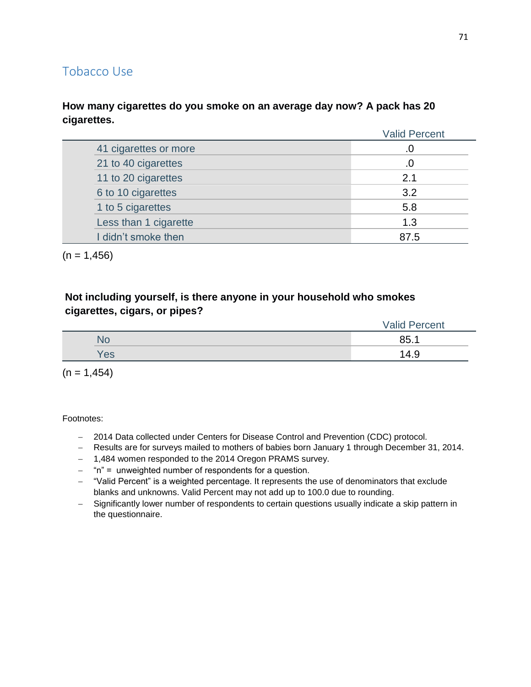## Tobacco Use

### **How many cigarettes do you smoke on an average day now? A pack has 20 cigarettes.**

|                       | <b>Valid Percent</b> |
|-----------------------|----------------------|
| 41 cigarettes or more |                      |
| 21 to 40 cigarettes   |                      |
| 11 to 20 cigarettes   | 21                   |
| 6 to 10 cigarettes    | 3.2                  |
| 1 to 5 cigarettes     | 5.8                  |
| Less than 1 cigarette | 1.3                  |
| I didn't smoke then   | 87.5                 |

 $(n = 1,456)$ 

## **Not including yourself, is there anyone in your household who smokes cigarettes, cigars, or pipes?**

|    |     | <b>Valid Percent</b> |
|----|-----|----------------------|
| No |     | 85.1                 |
|    | Yes | 14.9                 |

 $(n = 1,454)$ 

- 2014 Data collected under Centers for Disease Control and Prevention (CDC) protocol.
- Results are for surveys mailed to mothers of babies born January 1 through December 31, 2014.
- 1,484 women responded to the 2014 Oregon PRAMS survey.
- $-$  "n" = unweighted number of respondents for a question.
- "Valid Percent" is a weighted percentage. It represents the use of denominators that exclude blanks and unknowns. Valid Percent may not add up to 100.0 due to rounding.
- Significantly lower number of respondents to certain questions usually indicate a skip pattern in the questionnaire.